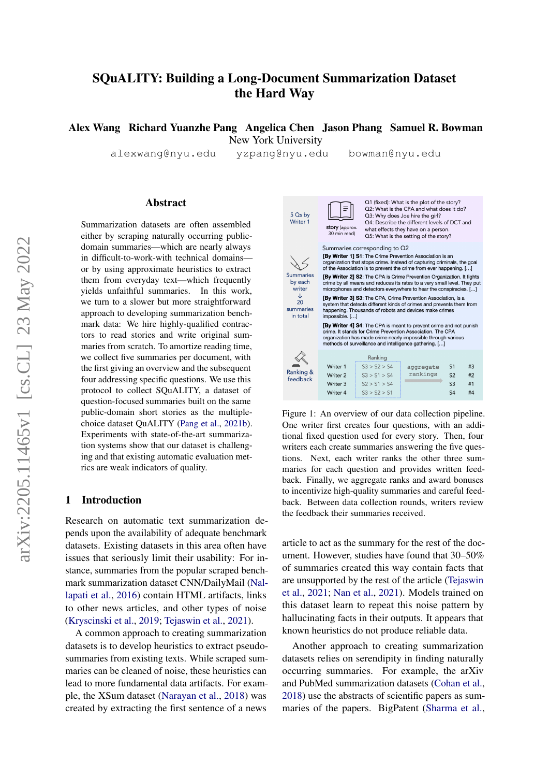# SQuALITY: Building a Long-Document Summarization Dataset the Hard Way

Alex Wang Richard Yuanzhe Pang Angelica Chen Jason Phang Samuel R. Bowman New York University

alexwang@nyu.edu yzpang@nyu.edu bowman@nyu.edu

#### Abstract

Summarization datasets are often assembled either by scraping naturally occurring publicdomain summaries—which are nearly always in difficult-to-work-with technical domains or by using approximate heuristics to extract them from everyday text—which frequently yields unfaithful summaries. In this work, we turn to a slower but more straightforward approach to developing summarization benchmark data: We hire highly-qualified contractors to read stories and write original summaries from scratch. To amortize reading time, we collect five summaries per document, with the first giving an overview and the subsequent four addressing specific questions. We use this protocol to collect SQuALITY, a dataset of question-focused summaries built on the same public-domain short stories as the multiplechoice dataset QuALITY [\(Pang et al.,](#page-12-0) [2021b\)](#page-12-0). Experiments with state-of-the-art summarization systems show that our dataset is challenging and that existing automatic evaluation metrics are weak indicators of quality.

### 1 Introduction

Research on automatic text summarization depends upon the availability of adequate benchmark datasets. Existing datasets in this area often have issues that seriously limit their usability: For instance, summaries from the popular scraped benchmark summarization dataset CNN/DailyMail [\(Nal](#page-11-0)[lapati et al.,](#page-11-0) [2016\)](#page-11-0) contain HTML artifacts, links to other news articles, and other types of noise [\(Kryscinski et al.,](#page-11-1) [2019;](#page-11-1) [Tejaswin et al.,](#page-12-1) [2021\)](#page-12-1).

A common approach to creating summarization datasets is to develop heuristics to extract pseudosummaries from existing texts. While scraped summaries can be cleaned of noise, these heuristics can lead to more fundamental data artifacts. For example, the XSum dataset [\(Narayan et al.,](#page-12-2) [2018\)](#page-12-2) was created by extracting the first sentence of a news



Figure 1: An overview of our data collection pipeline. One writer first creates four questions, with an additional fixed question used for every story. Then, four writers each create summaries answering the five questions. Next, each writer ranks the other three summaries for each question and provides written feedback. Finally, we aggregate ranks and award bonuses to incentivize high-quality summaries and careful feedback. Between data collection rounds, writers review the feedback their summaries received.

article to act as the summary for the rest of the document. However, studies have found that 30–50% of summaries created this way contain facts that are unsupported by the rest of the article [\(Tejaswin](#page-12-1) [et al.,](#page-12-1) [2021;](#page-12-1) [Nan et al.,](#page-11-2) [2021\)](#page-11-2). Models trained on this dataset learn to repeat this noise pattern by hallucinating facts in their outputs. It appears that known heuristics do not produce reliable data.

Another approach to creating summarization datasets relies on serendipity in finding naturally occurring summaries. For example, the arXiv and PubMed summarization datasets [\(Cohan et al.,](#page-11-3) [2018\)](#page-11-3) use the abstracts of scientific papers as summaries of the papers. BigPatent [\(Sharma et al.,](#page-12-3)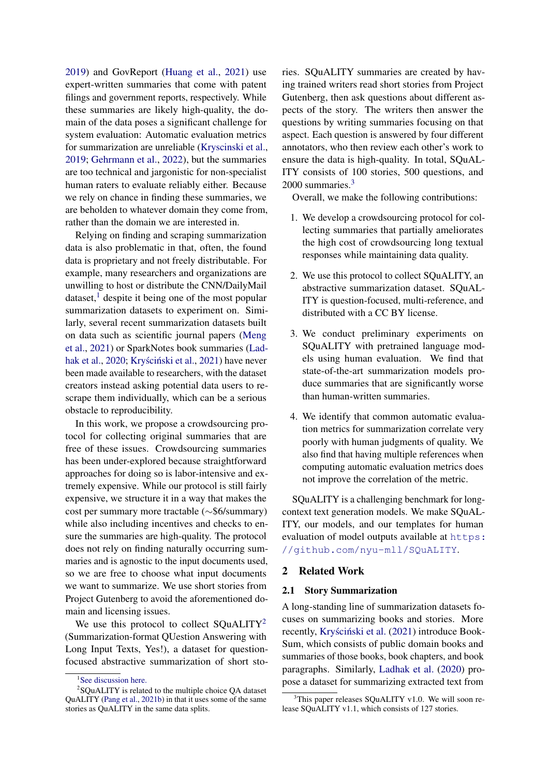[2019\)](#page-12-3) and GovReport [\(Huang et al.,](#page-11-4) [2021\)](#page-11-4) use expert-written summaries that come with patent filings and government reports, respectively. While these summaries are likely high-quality, the domain of the data poses a significant challenge for system evaluation: Automatic evaluation metrics for summarization are unreliable [\(Kryscinski et al.,](#page-11-1) [2019;](#page-11-1) [Gehrmann et al.,](#page-11-5) [2022\)](#page-11-5), but the summaries are too technical and jargonistic for non-specialist human raters to evaluate reliably either. Because we rely on chance in finding these summaries, we are beholden to whatever domain they come from, rather than the domain we are interested in.

Relying on finding and scraping summarization data is also problematic in that, often, the found data is proprietary and not freely distributable. For example, many researchers and organizations are unwilling to host or distribute the CNN/DailyMail dataset, $\frac{1}{1}$  $\frac{1}{1}$  $\frac{1}{1}$  despite it being one of the most popular summarization datasets to experiment on. Similarly, several recent summarization datasets built on data such as scientific journal papers [\(Meng](#page-11-6) [et al.,](#page-11-6) [2021\)](#page-11-6) or SparkNotes book summaries [\(Lad](#page-11-7)[hak et al.,](#page-11-7) [2020;](#page-11-7) Kryściński et al., [2021\)](#page-11-8) have never been made available to researchers, with the dataset creators instead asking potential data users to rescrape them individually, which can be a serious obstacle to reproducibility.

In this work, we propose a crowdsourcing protocol for collecting original summaries that are free of these issues. Crowdsourcing summaries has been under-explored because straightforward approaches for doing so is labor-intensive and extremely expensive. While our protocol is still fairly expensive, we structure it in a way that makes the cost per summary more tractable (∼\$6/summary) while also including incentives and checks to ensure the summaries are high-quality. The protocol does not rely on finding naturally occurring summaries and is agnostic to the input documents used, so we are free to choose what input documents we want to summarize. We use short stories from Project Gutenberg to avoid the aforementioned domain and licensing issues.

We use this protocol to collect SQuALITY<sup>[2](#page-1-1)</sup> (Summarization-format QUestion Answering with Long Input Texts, Yes!), a dataset for questionfocused abstractive summarization of short stories. SQuALITY summaries are created by having trained writers read short stories from Project Gutenberg, then ask questions about different aspects of the story. The writers then answer the questions by writing summaries focusing on that aspect. Each question is answered by four different annotators, who then review each other's work to ensure the data is high-quality. In total, SQuAL-ITY consists of 100 stories, 500 questions, and 2000 summaries.<sup>[3](#page-1-2)</sup>

Overall, we make the following contributions:

- 1. We develop a crowdsourcing protocol for collecting summaries that partially ameliorates the high cost of crowdsourcing long textual responses while maintaining data quality.
- 2. We use this protocol to collect SQuALITY, an abstractive summarization dataset. SQuAL-ITY is question-focused, multi-reference, and distributed with a CC BY license.
- 3. We conduct preliminary experiments on SQuALITY with pretrained language models using human evaluation. We find that state-of-the-art summarization models produce summaries that are significantly worse than human-written summaries.
- 4. We identify that common automatic evaluation metrics for summarization correlate very poorly with human judgments of quality. We also find that having multiple references when computing automatic evaluation metrics does not improve the correlation of the metric.

SQuALITY is a challenging benchmark for longcontext text generation models. We make SQuAL-ITY, our models, and our templates for human evaluation of model outputs available at [https:](https://github.com/nyu-mll/SQuALITY) [//github.com/nyu-mll/SQuALITY](https://github.com/nyu-mll/SQuALITY).

## <span id="page-1-3"></span>2 Related Work

### 2.1 Story Summarization

A long-standing line of summarization datasets focuses on summarizing books and stories. More recently, Kryściński et al. [\(2021\)](#page-11-8) introduce Book-Sum, which consists of public domain books and summaries of those books, book chapters, and book paragraphs. Similarly, [Ladhak et al.](#page-11-7) [\(2020\)](#page-11-7) propose a dataset for summarizing extracted text from

<span id="page-1-1"></span><span id="page-1-0"></span><sup>&</sup>lt;sup>1</sup>[See discussion here.](https://github.com/abisee/cnn-dailymail/issues/9)

 $2$ SQuALITY is related to the multiple choice QA dataset QuALITY [\(Pang et al.,](#page-12-0) [2021b\)](#page-12-0) in that it uses some of the same stories as QuALITY in the same data splits.

<span id="page-1-2"></span> $3$ This paper releases SQuALITY v1.0. We will soon release SQuALITY v1.1, which consists of 127 stories.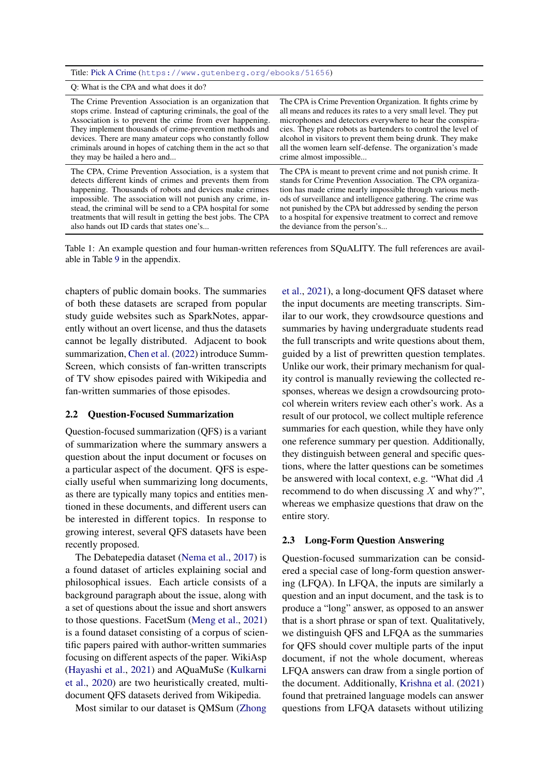<span id="page-2-0"></span>Title: [Pick A Crime](https://www.gutenberg.org/ebooks/51656) (<https://www.gutenberg.org/ebooks/51656>)

Q: What is the CPA and what does it do?

| The Crime Prevention Association is an organization that      | The CPA is Crime Prevention Organization. It fights crime by    |
|---------------------------------------------------------------|-----------------------------------------------------------------|
| stops crime. Instead of capturing criminals, the goal of the  | all means and reduces its rates to a very small level. They put |
| Association is to prevent the crime from ever happening.      | microphones and detectors everywhere to hear the conspira-      |
| They implement thousands of crime-prevention methods and      | cies. They place robots as bartenders to control the level of   |
| devices. There are many amateur cops who constantly follow    | alcohol in visitors to prevent them being drunk. They make      |
| criminals around in hopes of catching them in the act so that | all the women learn self-defense. The organization's made       |
| they may be hailed a hero and                                 | crime almost impossible                                         |
| The CPA, Crime Prevention Association, is a system that       | The CPA is meant to prevent crime and not punish crime. It      |
| detects different kinds of crimes and prevents them from      | stands for Crime Prevention Association. The CPA organiza-      |
| happening. Thousands of robots and devices make crimes        | tion has made crime nearly impossible through various meth-     |
| impossible. The association will not punish any crime, in-    | ods of surveillance and intelligence gathering. The crime was   |
| stead, the criminal will be send to a CPA hospital for some   | not punished by the CPA but addressed by sending the person     |
| treatments that will result in getting the best jobs. The CPA | to a hospital for expensive treatment to correct and remove     |
| also hands out ID cards that states one's                     | the deviance from the person's                                  |

Table 1: An example question and four human-written references from SQuALITY. The full references are available in Table [9](#page-15-0) in the appendix.

chapters of public domain books. The summaries of both these datasets are scraped from popular study guide websites such as SparkNotes, apparently without an overt license, and thus the datasets cannot be legally distributed. Adjacent to book summarization, [Chen et al.](#page-10-0) [\(2022\)](#page-10-0) introduce Summ-Screen, which consists of fan-written transcripts of TV show episodes paired with Wikipedia and fan-written summaries of those episodes.

#### 2.2 Question-Focused Summarization

Question-focused summarization (QFS) is a variant of summarization where the summary answers a question about the input document or focuses on a particular aspect of the document. QFS is especially useful when summarizing long documents, as there are typically many topics and entities mentioned in these documents, and different users can be interested in different topics. In response to growing interest, several QFS datasets have been recently proposed.

The Debatepedia dataset [\(Nema et al.,](#page-12-4) [2017\)](#page-12-4) is a found dataset of articles explaining social and philosophical issues. Each article consists of a background paragraph about the issue, along with a set of questions about the issue and short answers to those questions. FacetSum [\(Meng et al.,](#page-11-6) [2021\)](#page-11-6) is a found dataset consisting of a corpus of scientific papers paired with author-written summaries focusing on different aspects of the paper. WikiAsp [\(Hayashi et al.,](#page-11-9) [2021\)](#page-11-9) and AQuaMuSe [\(Kulkarni](#page-11-10) [et al.,](#page-11-10) [2020\)](#page-11-10) are two heuristically created, multidocument QFS datasets derived from Wikipedia.

Most similar to our dataset is QMSum [\(Zhong](#page-12-5)

[et al.,](#page-12-5) [2021\)](#page-12-5), a long-document QFS dataset where the input documents are meeting transcripts. Similar to our work, they crowdsource questions and summaries by having undergraduate students read the full transcripts and write questions about them, guided by a list of prewritten question templates. Unlike our work, their primary mechanism for quality control is manually reviewing the collected responses, whereas we design a crowdsourcing protocol wherein writers review each other's work. As a result of our protocol, we collect multiple reference summaries for each question, while they have only one reference summary per question. Additionally, they distinguish between general and specific questions, where the latter questions can be sometimes be answered with local context, e.g. "What did A recommend to do when discussing  $X$  and why?", whereas we emphasize questions that draw on the entire story.

#### 2.3 Long-Form Question Answering

Question-focused summarization can be considered a special case of long-form question answering (LFQA). In LFQA, the inputs are similarly a question and an input document, and the task is to produce a "long" answer, as opposed to an answer that is a short phrase or span of text. Qualitatively, we distinguish QFS and LFQA as the summaries for QFS should cover multiple parts of the input document, if not the whole document, whereas LFQA answers can draw from a single portion of the document. Additionally, [Krishna et al.](#page-11-11) [\(2021\)](#page-11-11) found that pretrained language models can answer questions from LFQA datasets without utilizing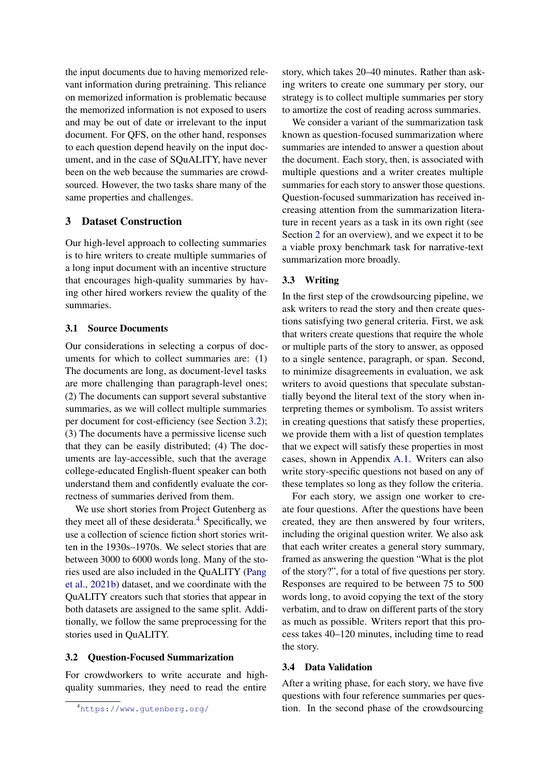the input documents due to having memorized relevant information during pretraining. This reliance on memorized information is problematic because the memorized information is not exposed to users and may be out of date or irrelevant to the input document. For QFS, on the other hand, responses to each question depend heavily on the input document, and in the case of SQuALITY, have never been on the web because the summaries are crowdsourced. However, the two tasks share many of the same properties and challenges.

### 3 Dataset Construction

Our high-level approach to collecting summaries is to hire writers to create multiple summaries of a long input document with an incentive structure that encourages high-quality summaries by having other hired workers review the quality of the summaries.

### 3.1 Source Documents

Our considerations in selecting a corpus of documents for which to collect summaries are: (1) The documents are long, as document-level tasks are more challenging than paragraph-level ones; (2) The documents can support several substantive summaries, as we will collect multiple summaries per document for cost-efficiency (see Section [3.2\)](#page-3-0); (3) The documents have a permissive license such that they can be easily distributed; (4) The documents are lay-accessible, such that the average college-educated English-fluent speaker can both understand them and confidently evaluate the correctness of summaries derived from them.

We use short stories from Project Gutenberg as they meet all of these desiderata. $4$  Specifically, we use a collection of science fiction short stories written in the 1930s–1970s. We select stories that are between 3000 to 6000 words long. Many of the stories used are also included in the QuALITY [\(Pang](#page-12-0) [et al.,](#page-12-0) [2021b\)](#page-12-0) dataset, and we coordinate with the QuALITY creators such that stories that appear in both datasets are assigned to the same split. Additionally, we follow the same preprocessing for the stories used in QuALITY.

#### <span id="page-3-0"></span>3.2 Question-Focused Summarization

For crowdworkers to write accurate and highquality summaries, they need to read the entire

story, which takes 20–40 minutes. Rather than asking writers to create one summary per story, our strategy is to collect multiple summaries per story to amortize the cost of reading across summaries.

We consider a variant of the summarization task known as question-focused summarization where summaries are intended to answer a question about the document. Each story, then, is associated with multiple questions and a writer creates multiple summaries for each story to answer those questions. Question-focused summarization has received increasing attention from the summarization literature in recent years as a task in its own right (see Section [2](#page-1-3) for an overview), and we expect it to be a viable proxy benchmark task for narrative-text summarization more broadly.

### 3.3 Writing

In the first step of the crowdsourcing pipeline, we ask writers to read the story and then create questions satisfying two general criteria. First, we ask that writers create questions that require the whole or multiple parts of the story to answer, as opposed to a single sentence, paragraph, or span. Second, to minimize disagreements in evaluation, we ask writers to avoid questions that speculate substantially beyond the literal text of the story when interpreting themes or symbolism. To assist writers in creating questions that satisfy these properties, we provide them with a list of question templates that we expect will satisfy these properties in most cases, shown in Appendix [A.1.](#page-13-0) Writers can also write story-specific questions not based on any of these templates so long as they follow the criteria.

For each story, we assign one worker to create four questions. After the questions have been created, they are then answered by four writers, including the original question writer. We also ask that each writer creates a general story summary, framed as answering the question "What is the plot of the story?", for a total of five questions per story. Responses are required to be between 75 to 500 words long, to avoid copying the text of the story verbatim, and to draw on different parts of the story as much as possible. Writers report that this process takes 40–120 minutes, including time to read the story.

#### 3.4 Data Validation

After a writing phase, for each story, we have five questions with four reference summaries per question. In the second phase of the crowdsourcing

<span id="page-3-1"></span><sup>4</sup><https://www.gutenberg.org/>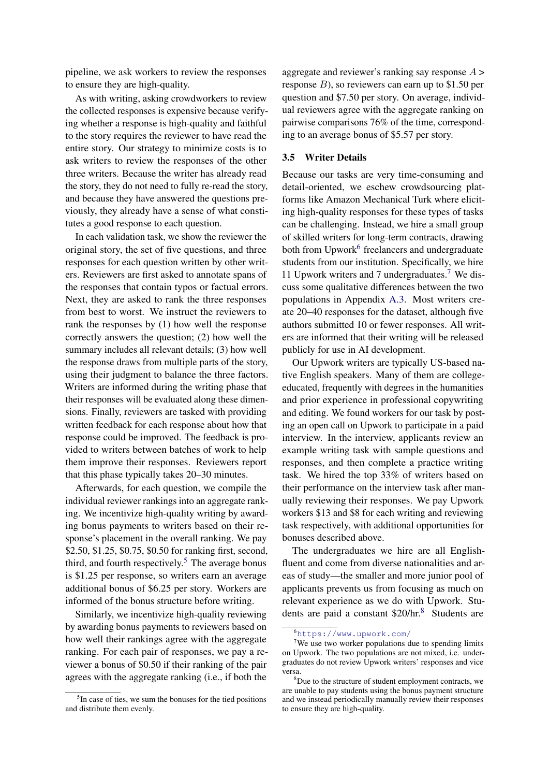pipeline, we ask workers to review the responses to ensure they are high-quality.

As with writing, asking crowdworkers to review the collected responses is expensive because verifying whether a response is high-quality and faithful to the story requires the reviewer to have read the entire story. Our strategy to minimize costs is to ask writers to review the responses of the other three writers. Because the writer has already read the story, they do not need to fully re-read the story, and because they have answered the questions previously, they already have a sense of what constitutes a good response to each question.

In each validation task, we show the reviewer the original story, the set of five questions, and three responses for each question written by other writers. Reviewers are first asked to annotate spans of the responses that contain typos or factual errors. Next, they are asked to rank the three responses from best to worst. We instruct the reviewers to rank the responses by (1) how well the response correctly answers the question; (2) how well the summary includes all relevant details; (3) how well the response draws from multiple parts of the story, using their judgment to balance the three factors. Writers are informed during the writing phase that their responses will be evaluated along these dimensions. Finally, reviewers are tasked with providing written feedback for each response about how that response could be improved. The feedback is provided to writers between batches of work to help them improve their responses. Reviewers report that this phase typically takes 20–30 minutes.

Afterwards, for each question, we compile the individual reviewer rankings into an aggregate ranking. We incentivize high-quality writing by awarding bonus payments to writers based on their response's placement in the overall ranking. We pay \$2.50, \$1.25, \$0.75, \$0.50 for ranking first, second, third, and fourth respectively.<sup>[5](#page-4-0)</sup> The average bonus is \$1.25 per response, so writers earn an average additional bonus of \$6.25 per story. Workers are informed of the bonus structure before writing.

Similarly, we incentivize high-quality reviewing by awarding bonus payments to reviewers based on how well their rankings agree with the aggregate ranking. For each pair of responses, we pay a reviewer a bonus of \$0.50 if their ranking of the pair agrees with the aggregate ranking (i.e., if both the

aggregate and reviewer's ranking say response  $A >$ response  $B$ ), so reviewers can earn up to \$1.50 per question and \$7.50 per story. On average, individual reviewers agree with the aggregate ranking on pairwise comparisons 76% of the time, corresponding to an average bonus of \$5.57 per story.

#### 3.5 Writer Details

Because our tasks are very time-consuming and detail-oriented, we eschew crowdsourcing platforms like Amazon Mechanical Turk where eliciting high-quality responses for these types of tasks can be challenging. Instead, we hire a small group of skilled writers for long-term contracts, drawing both from Upwork<sup>[6](#page-4-1)</sup> freelancers and undergraduate students from our institution. Specifically, we hire 11 Upwork writers and 7 undergraduates.[7](#page-4-2) We discuss some qualitative differences between the two populations in Appendix [A.3.](#page-13-1) Most writers create 20–40 responses for the dataset, although five authors submitted 10 or fewer responses. All writers are informed that their writing will be released publicly for use in AI development.

Our Upwork writers are typically US-based native English speakers. Many of them are collegeeducated, frequently with degrees in the humanities and prior experience in professional copywriting and editing. We found workers for our task by posting an open call on Upwork to participate in a paid interview. In the interview, applicants review an example writing task with sample questions and responses, and then complete a practice writing task. We hired the top 33% of writers based on their performance on the interview task after manually reviewing their responses. We pay Upwork workers \$13 and \$8 for each writing and reviewing task respectively, with additional opportunities for bonuses described above.

The undergraduates we hire are all Englishfluent and come from diverse nationalities and areas of study—the smaller and more junior pool of applicants prevents us from focusing as much on relevant experience as we do with Upwork. Stu-dents are paid a constant \$20/hr.<sup>[8](#page-4-3)</sup> Students are

<span id="page-4-0"></span><sup>&</sup>lt;sup>5</sup>In case of ties, we sum the bonuses for the tied positions and distribute them evenly.

<span id="page-4-2"></span><span id="page-4-1"></span><sup>6</sup><https://www.upwork.com/>

<sup>&</sup>lt;sup>7</sup>We use two worker populations due to spending limits on Upwork. The two populations are not mixed, i.e. undergraduates do not review Upwork writers' responses and vice versa.

<span id="page-4-3"></span><sup>8</sup>Due to the structure of student employment contracts, we are unable to pay students using the bonus payment structure and we instead periodically manually review their responses to ensure they are high-quality.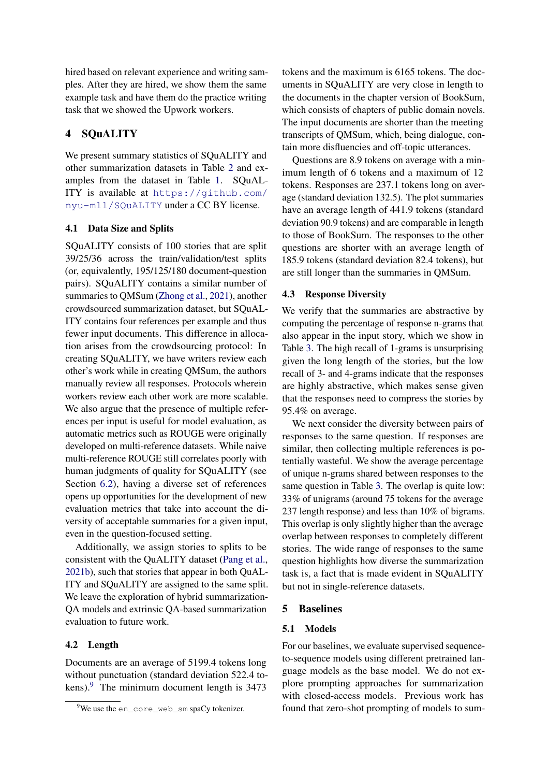hired based on relevant experience and writing samples. After they are hired, we show them the same example task and have them do the practice writing task that we showed the Upwork workers.

# 4 SQuALITY

We present summary statistics of SQuALITY and other summarization datasets in Table [2](#page-6-0) and examples from the dataset in Table [1.](#page-2-0) SQuAL-ITY is available at [https://github.com/](https://github.com/nyu-mll/SQuALITY) [nyu-mll/SQuALITY](https://github.com/nyu-mll/SQuALITY) under a CC BY license.

### 4.1 Data Size and Splits

SQuALITY consists of 100 stories that are split 39/25/36 across the train/validation/test splits (or, equivalently, 195/125/180 document-question pairs). SQuALITY contains a similar number of summaries to QMSum [\(Zhong et al.,](#page-12-5) [2021\)](#page-12-5), another crowdsourced summarization dataset, but SQuAL-ITY contains four references per example and thus fewer input documents. This difference in allocation arises from the crowdsourcing protocol: In creating SQuALITY, we have writers review each other's work while in creating QMSum, the authors manually review all responses. Protocols wherein workers review each other work are more scalable. We also argue that the presence of multiple references per input is useful for model evaluation, as automatic metrics such as ROUGE were originally developed on multi-reference datasets. While naive multi-reference ROUGE still correlates poorly with human judgments of quality for SQuALITY (see Section [6.2\)](#page-9-0), having a diverse set of references opens up opportunities for the development of new evaluation metrics that take into account the diversity of acceptable summaries for a given input, even in the question-focused setting.

Additionally, we assign stories to splits to be consistent with the QuALITY dataset [\(Pang et al.,](#page-12-0) [2021b\)](#page-12-0), such that stories that appear in both QuAL-ITY and SQuALITY are assigned to the same split. We leave the exploration of hybrid summarization-QA models and extrinsic QA-based summarization evaluation to future work.

#### 4.2 Length

Documents are an average of 5199.4 tokens long without punctuation (standard deviation 522.4 to-kens).<sup>[9](#page-5-0)</sup> The minimum document length is 3473

tokens and the maximum is 6165 tokens. The documents in SQuALITY are very close in length to the documents in the chapter version of BookSum, which consists of chapters of public domain novels. The input documents are shorter than the meeting transcripts of QMSum, which, being dialogue, contain more disfluencies and off-topic utterances.

Questions are 8.9 tokens on average with a minimum length of 6 tokens and a maximum of 12 tokens. Responses are 237.1 tokens long on average (standard deviation 132.5). The plot summaries have an average length of 441.9 tokens (standard deviation 90.9 tokens) and are comparable in length to those of BookSum. The responses to the other questions are shorter with an average length of 185.9 tokens (standard deviation 82.4 tokens), but are still longer than the summaries in QMSum.

#### 4.3 Response Diversity

We verify that the summaries are abstractive by computing the percentage of response n-grams that also appear in the input story, which we show in Table [3.](#page-6-1) The high recall of 1-grams is unsurprising given the long length of the stories, but the low recall of 3- and 4-grams indicate that the responses are highly abstractive, which makes sense given that the responses need to compress the stories by 95.4% on average.

We next consider the diversity between pairs of responses to the same question. If responses are similar, then collecting multiple references is potentially wasteful. We show the average percentage of unique n-grams shared between responses to the same question in Table [3.](#page-6-1) The overlap is quite low: 33% of unigrams (around 75 tokens for the average 237 length response) and less than 10% of bigrams. This overlap is only slightly higher than the average overlap between responses to completely different stories. The wide range of responses to the same question highlights how diverse the summarization task is, a fact that is made evident in SQuALITY but not in single-reference datasets.

#### 5 Baselines

#### 5.1 Models

For our baselines, we evaluate supervised sequenceto-sequence models using different pretrained language models as the base model. We do not explore prompting approaches for summarization with closed-access models. Previous work has found that zero-shot prompting of models to sum-

<span id="page-5-0"></span> $9$ We use the en\_core\_web\_sm spaCy tokenizer.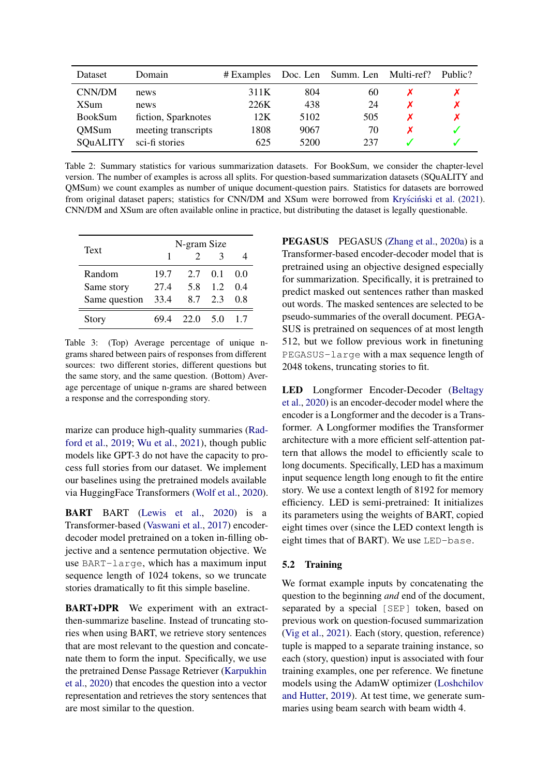<span id="page-6-0"></span>

| Dataset         | Domain              | # Examples |      | Doc. Len Summ. Len | Multi-ref? | Public? |
|-----------------|---------------------|------------|------|--------------------|------------|---------|
| CNN/DM          | news                | 311K       | 804  | 60                 |            |         |
| <b>XSum</b>     | news                | 226K       | 438  | 24                 |            |         |
| <b>BookSum</b>  | fiction, Sparknotes | 12K        | 5102 | 505                |            |         |
| <b>QMSum</b>    | meeting transcripts | 1808       | 9067 | 70                 |            |         |
| <b>SOUALITY</b> | sci-fi stories      | 625        | 5200 | 237                |            |         |

Table 2: Summary statistics for various summarization datasets. For BookSum, we consider the chapter-level version. The number of examples is across all splits. For question-based summarization datasets (SQuALITY and QMSum) we count examples as number of unique document-question pairs. Statistics for datasets are borrowed from original dataset papers; statistics for CNN/DM and XSum were borrowed from Kryściński et al. [\(2021\)](#page-11-8). CNN/DM and XSum are often available online in practice, but distributing the dataset is legally questionable.

<span id="page-6-1"></span>

| Text          | N-gram Size |               |     |     |
|---------------|-------------|---------------|-----|-----|
|               | 1           | $\mathcal{D}$ | κ   |     |
| Random        | 19.7        | 2.7           | 0.1 | 0.0 |
| Same story    | 27.4        | 5.8           | 12  | 04  |
| Same question | 33.4        | 8.7           | 2.3 | 08  |
| Story         |             | 22.0 5.0      |     | 17  |

Table 3: (Top) Average percentage of unique ngrams shared between pairs of responses from different sources: two different stories, different questions but the same story, and the same question. (Bottom) Average percentage of unique n-grams are shared between a response and the corresponding story.

marize can produce high-quality summaries [\(Rad](#page-12-6)[ford et al.,](#page-12-6) [2019;](#page-12-6) [Wu et al.,](#page-12-7) [2021\)](#page-12-7), though public models like GPT-3 do not have the capacity to process full stories from our dataset. We implement our baselines using the pretrained models available via HuggingFace Transformers [\(Wolf et al.,](#page-12-8) [2020\)](#page-12-8).

BART BART [\(Lewis et al.,](#page-11-12) [2020\)](#page-11-12) is a Transformer-based [\(Vaswani et al.,](#page-12-9) [2017\)](#page-12-9) encoderdecoder model pretrained on a token in-filling objective and a sentence permutation objective. We use BART-large, which has a maximum input sequence length of 1024 tokens, so we truncate stories dramatically to fit this simple baseline.

BART+DPR We experiment with an extractthen-summarize baseline. Instead of truncating stories when using BART, we retrieve story sentences that are most relevant to the question and concatenate them to form the input. Specifically, we use the pretrained Dense Passage Retriever [\(Karpukhin](#page-11-13) [et al.,](#page-11-13) [2020\)](#page-11-13) that encodes the question into a vector representation and retrieves the story sentences that are most similar to the question.

PEGASUS PEGASUS [\(Zhang et al.,](#page-12-10) [2020a\)](#page-12-10) is a Transformer-based encoder-decoder model that is pretrained using an objective designed especially for summarization. Specifically, it is pretrained to predict masked out sentences rather than masked out words. The masked sentences are selected to be pseudo-summaries of the overall document. PEGA-SUS is pretrained on sequences of at most length 512, but we follow previous work in finetuning PEGASUS-large with a max sequence length of 2048 tokens, truncating stories to fit.

LED Longformer Encoder-Decoder [\(Beltagy](#page-10-1) [et al.,](#page-10-1) [2020\)](#page-10-1) is an encoder-decoder model where the encoder is a Longformer and the decoder is a Transformer. A Longformer modifies the Transformer architecture with a more efficient self-attention pattern that allows the model to efficiently scale to long documents. Specifically, LED has a maximum input sequence length long enough to fit the entire story. We use a context length of 8192 for memory efficiency. LED is semi-pretrained: It initializes its parameters using the weights of BART, copied eight times over (since the LED context length is eight times that of BART). We use LED-base.

### 5.2 Training

We format example inputs by concatenating the question to the beginning *and* end of the document, separated by a special [SEP] token, based on previous work on question-focused summarization [\(Vig et al.,](#page-12-11) [2021\)](#page-12-11). Each (story, question, reference) tuple is mapped to a separate training instance, so each (story, question) input is associated with four training examples, one per reference. We finetune models using the AdamW optimizer [\(Loshchilov](#page-11-14) [and Hutter,](#page-11-14) [2019\)](#page-11-14). At test time, we generate summaries using beam search with beam width 4.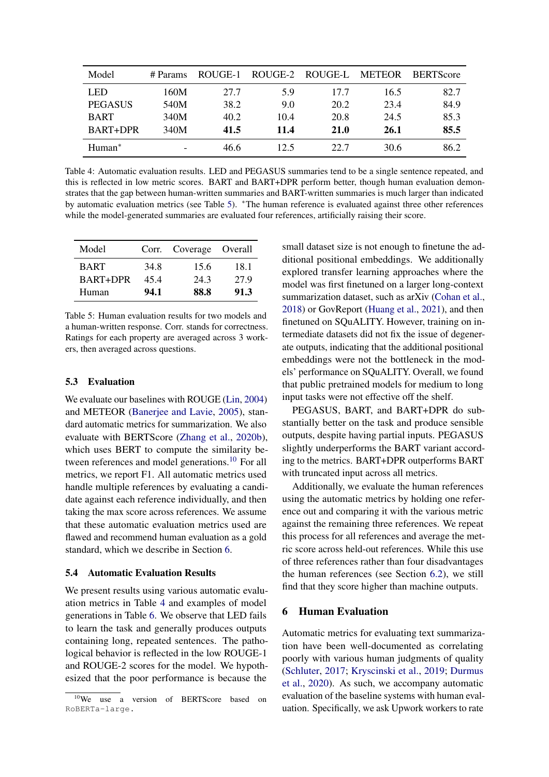<span id="page-7-3"></span>

| Model          | # Params | ROUGE-1 | ROUGE-2 | ROUGE-L | <b>METEOR</b> | <b>BERTScore</b> |
|----------------|----------|---------|---------|---------|---------------|------------------|
| <b>LED</b>     | 160M     | 27.7    | 5.9     | 17.7    | 16.5          | 82.7             |
| <b>PEGASUS</b> | 540M     | 38.2    | 9.0     | 20.2    | 23.4          | 84.9             |
| <b>BART</b>    | 340M     | 40.2    | 10.4    | 20.8    | 24.5          | 85.3             |
| BART+DPR       | 340M     | 41.5    | 11.4    | 21.0    | 26.1          | 85.5             |
| $Human^*$      | -        | 46.6    | 12.5    | 22.7    | 30.6          | 86.2             |

Table 4: Automatic evaluation results. LED and PEGASUS summaries tend to be a single sentence repeated, and this is reflected in low metric scores. BART and BART+DPR perform better, though human evaluation demonstrates that the gap between human-written summaries and BART-written summaries is much larger than indicated by automatic evaluation metrics (see Table [5\)](#page-7-0). <sup>∗</sup>The human reference is evaluated against three other references while the model-generated summaries are evaluated four references, artificially raising their score.

<span id="page-7-0"></span>

| Model       |      | Corr. Coverage Overall |      |
|-------------|------|------------------------|------|
| <b>BART</b> | 34.8 | 15.6                   | 18.1 |
| BART+DPR    | 454  | 24.3                   | 27.9 |
| Human       | 94.1 | 88.8                   | 91.3 |

Table 5: Human evaluation results for two models and a human-written response. Corr. stands for correctness. Ratings for each property are averaged across 3 workers, then averaged across questions.

#### 5.3 Evaluation

We evaluate our baselines with ROUGE [\(Lin,](#page-11-15) [2004\)](#page-11-15) and METEOR [\(Banerjee and Lavie,](#page-10-2) [2005\)](#page-10-2), standard automatic metrics for summarization. We also evaluate with BERTScore [\(Zhang et al.,](#page-12-12) [2020b\)](#page-12-12), which uses BERT to compute the similarity be-tween references and model generations.<sup>[10](#page-7-1)</sup> For all metrics, we report F1. All automatic metrics used handle multiple references by evaluating a candidate against each reference individually, and then taking the max score across references. We assume that these automatic evaluation metrics used are flawed and recommend human evaluation as a gold standard, which we describe in Section [6.](#page-7-2)

#### 5.4 Automatic Evaluation Results

We present results using various automatic evaluation metrics in Table [4](#page-7-3) and examples of model generations in Table [6.](#page-8-0) We observe that LED fails to learn the task and generally produces outputs containing long, repeated sentences. The pathological behavior is reflected in the low ROUGE-1 and ROUGE-2 scores for the model. We hypothesized that the poor performance is because the

small dataset size is not enough to finetune the additional positional embeddings. We additionally explored transfer learning approaches where the model was first finetuned on a larger long-context summarization dataset, such as arXiv [\(Cohan et al.,](#page-11-3) [2018\)](#page-11-3) or GovReport [\(Huang et al.,](#page-11-4) [2021\)](#page-11-4), and then finetuned on SQuALITY. However, training on intermediate datasets did not fix the issue of degenerate outputs, indicating that the additional positional embeddings were not the bottleneck in the models' performance on SQuALITY. Overall, we found that public pretrained models for medium to long input tasks were not effective off the shelf.

PEGASUS, BART, and BART+DPR do substantially better on the task and produce sensible outputs, despite having partial inputs. PEGASUS slightly underperforms the BART variant according to the metrics. BART+DPR outperforms BART with truncated input across all metrics.

Additionally, we evaluate the human references using the automatic metrics by holding one reference out and comparing it with the various metric against the remaining three references. We repeat this process for all references and average the metric score across held-out references. While this use of three references rather than four disadvantages the human references (see Section [6.2\)](#page-9-0), we still find that they score higher than machine outputs.

### <span id="page-7-2"></span>6 Human Evaluation

Automatic metrics for evaluating text summarization have been well-documented as correlating poorly with various human judgments of quality [\(Schluter,](#page-12-13) [2017;](#page-12-13) [Kryscinski et al.,](#page-11-1) [2019;](#page-11-1) [Durmus](#page-11-16) [et al.,](#page-11-16) [2020\)](#page-11-16). As such, we accompany automatic evaluation of the baseline systems with human evaluation. Specifically, we ask Upwork workers to rate

<span id="page-7-1"></span><sup>&</sup>lt;sup>10</sup>We use a version of BERTScore based on RoBERTa-large.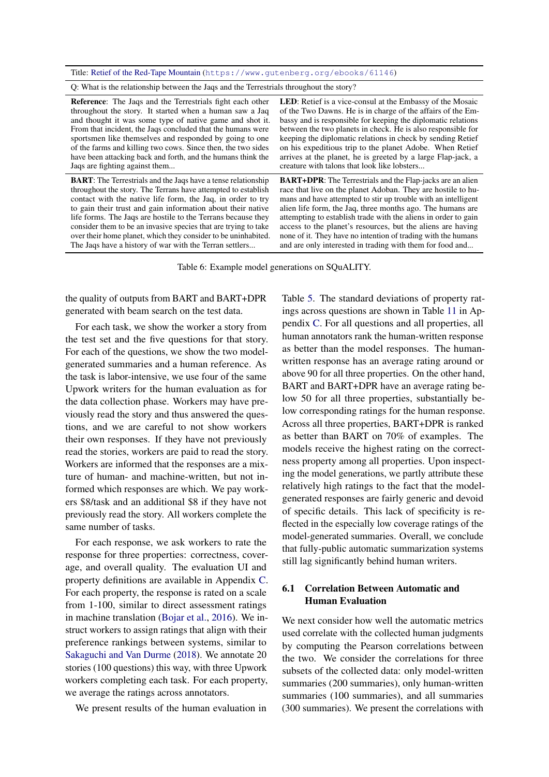<span id="page-8-0"></span>Title: [Retief of the Red-Tape Mountain](https://www.gutenberg.org/ebooks/61146) (<https://www.gutenberg.org/ebooks/61146>)

Q: What is the relationship between the Jaqs and the Terrestrials throughout the story?

Reference: The Jaqs and the Terrestrials fight each other throughout the story. It started when a human saw a Jaq and thought it was some type of native game and shot it. From that incident, the Jaqs concluded that the humans were sportsmen like themselves and responded by going to one of the farms and killing two cows. Since then, the two sides have been attacking back and forth, and the humans think the Jaqs are fighting against them...

BART: The Terrestrials and the Jaqs have a tense relationship throughout the story. The Terrans have attempted to establish contact with the native life form, the Jaq, in order to try to gain their trust and gain information about their native life forms. The Jaqs are hostile to the Terrans because they consider them to be an invasive species that are trying to take over their home planet, which they consider to be uninhabited. The Jaqs have a history of war with the Terran settlers...

LED: Retief is a vice-consul at the Embassy of the Mosaic of the Two Dawns. He is in charge of the affairs of the Embassy and is responsible for keeping the diplomatic relations between the two planets in check. He is also responsible for keeping the diplomatic relations in check by sending Retief on his expeditious trip to the planet Adobe. When Retief arrives at the planet, he is greeted by a large Flap-jack, a creature with talons that look like lobsters...

BART+DPR: The Terrestrials and the Flap-jacks are an alien race that live on the planet Adoban. They are hostile to humans and have attempted to stir up trouble with an intelligent alien life form, the Jaq, three months ago. The humans are attempting to establish trade with the aliens in order to gain access to the planet's resources, but the aliens are having none of it. They have no intention of trading with the humans and are only interested in trading with them for food and...

Table 6: Example model generations on SQuALITY.

the quality of outputs from BART and BART+DPR generated with beam search on the test data.

For each task, we show the worker a story from the test set and the five questions for that story. For each of the questions, we show the two modelgenerated summaries and a human reference. As the task is labor-intensive, we use four of the same Upwork writers for the human evaluation as for the data collection phase. Workers may have previously read the story and thus answered the questions, and we are careful to not show workers their own responses. If they have not previously read the stories, workers are paid to read the story. Workers are informed that the responses are a mixture of human- and machine-written, but not informed which responses are which. We pay workers \$8/task and an additional \$8 if they have not previously read the story. All workers complete the same number of tasks.

For each response, we ask workers to rate the response for three properties: correctness, coverage, and overall quality. The evaluation UI and property definitions are available in Appendix [C.](#page-13-2) For each property, the response is rated on a scale from 1-100, similar to direct assessment ratings in machine translation [\(Bojar et al.,](#page-10-3) [2016\)](#page-10-3). We instruct workers to assign ratings that align with their preference rankings between systems, similar to [Sakaguchi and Van Durme](#page-12-14) [\(2018\)](#page-12-14). We annotate 20 stories (100 questions) this way, with three Upwork workers completing each task. For each property, we average the ratings across annotators.

We present results of the human evaluation in

Table [5.](#page-7-0) The standard deviations of property ratings across questions are shown in Table [11](#page-17-0) in Appendix [C.](#page-13-2) For all questions and all properties, all human annotators rank the human-written response as better than the model responses. The humanwritten response has an average rating around or above 90 for all three properties. On the other hand, BART and BART+DPR have an average rating below 50 for all three properties, substantially below corresponding ratings for the human response. Across all three properties, BART+DPR is ranked as better than BART on 70% of examples. The models receive the highest rating on the correctness property among all properties. Upon inspecting the model generations, we partly attribute these relatively high ratings to the fact that the modelgenerated responses are fairly generic and devoid of specific details. This lack of specificity is reflected in the especially low coverage ratings of the model-generated summaries. Overall, we conclude that fully-public automatic summarization systems still lag significantly behind human writers.

## 6.1 Correlation Between Automatic and Human Evaluation

We next consider how well the automatic metrics used correlate with the collected human judgments by computing the Pearson correlations between the two. We consider the correlations for three subsets of the collected data: only model-written summaries (200 summaries), only human-written summaries (100 summaries), and all summaries (300 summaries). We present the correlations with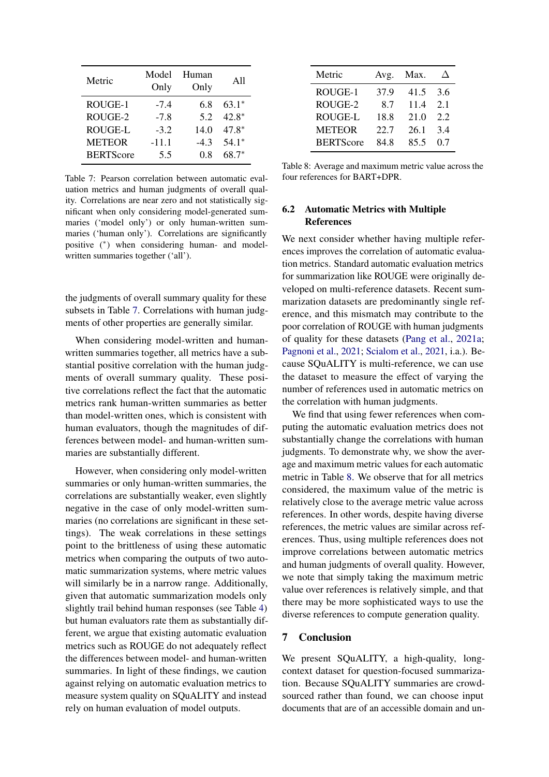<span id="page-9-1"></span>

| Metric           | Model<br>Only | Human<br>Only | A11     |
|------------------|---------------|---------------|---------|
| ROUGE-1          | $-7.4$        | 68            | $63.1*$ |
| ROUGE-2          | $-7.8$        | 5.2           | $42.8*$ |
| <b>ROUGE-L</b>   | $-3.2$        | 14.0          | $47.8*$ |
| <b>METEOR</b>    | $-11.1$       | $-43$         | $54.1*$ |
| <b>BERTScore</b> | 5.5           | 08            | $68.7*$ |

Table 7: Pearson correlation between automatic evaluation metrics and human judgments of overall quality. Correlations are near zero and not statistically significant when only considering model-generated summaries ('model only') or only human-written summaries ('human only'). Correlations are significantly positive (<sup>∗</sup> ) when considering human- and modelwritten summaries together ('all').

the judgments of overall summary quality for these subsets in Table [7.](#page-9-1) Correlations with human judgments of other properties are generally similar.

When considering model-written and humanwritten summaries together, all metrics have a substantial positive correlation with the human judgments of overall summary quality. These positive correlations reflect the fact that the automatic metrics rank human-written summaries as better than model-written ones, which is consistent with human evaluators, though the magnitudes of differences between model- and human-written summaries are substantially different.

However, when considering only model-written summaries or only human-written summaries, the correlations are substantially weaker, even slightly negative in the case of only model-written summaries (no correlations are significant in these settings). The weak correlations in these settings point to the brittleness of using these automatic metrics when comparing the outputs of two automatic summarization systems, where metric values will similarly be in a narrow range. Additionally, given that automatic summarization models only slightly trail behind human responses (see Table [4\)](#page-7-3) but human evaluators rate them as substantially different, we argue that existing automatic evaluation metrics such as ROUGE do not adequately reflect the differences between model- and human-written summaries. In light of these findings, we caution against relying on automatic evaluation metrics to measure system quality on SQuALITY and instead rely on human evaluation of model outputs.

<span id="page-9-2"></span>

| Metric           | Avg. | Max. |     |
|------------------|------|------|-----|
| ROUGE-1          | 37.9 | 41.5 | 36  |
| ROUGE-2          | 8.7  | 11.4 | 2.1 |
| <b>ROUGE-L</b>   | 18.8 | 21.0 | 2.2 |
| <b>METEOR</b>    | 22.7 | 26.1 | 3.4 |
| <b>BERTScore</b> | 84.8 | 85.5 | 07  |

Table 8: Average and maximum metric value across the four references for BART+DPR.

## <span id="page-9-0"></span>6.2 Automatic Metrics with Multiple References

We next consider whether having multiple references improves the correlation of automatic evaluation metrics. Standard automatic evaluation metrics for summarization like ROUGE were originally developed on multi-reference datasets. Recent summarization datasets are predominantly single reference, and this mismatch may contribute to the poor correlation of ROUGE with human judgments of quality for these datasets [\(Pang et al.,](#page-12-15) [2021a;](#page-12-15) [Pagnoni et al.,](#page-12-16) [2021;](#page-12-16) [Scialom et al.,](#page-12-17) [2021,](#page-12-17) i.a.). Because SQuALITY is multi-reference, we can use the dataset to measure the effect of varying the number of references used in automatic metrics on the correlation with human judgments.

We find that using fewer references when computing the automatic evaluation metrics does not substantially change the correlations with human judgments. To demonstrate why, we show the average and maximum metric values for each automatic metric in Table [8.](#page-9-2) We observe that for all metrics considered, the maximum value of the metric is relatively close to the average metric value across references. In other words, despite having diverse references, the metric values are similar across references. Thus, using multiple references does not improve correlations between automatic metrics and human judgments of overall quality. However, we note that simply taking the maximum metric value over references is relatively simple, and that there may be more sophisticated ways to use the diverse references to compute generation quality.

### 7 Conclusion

We present SQuALITY, a high-quality, longcontext dataset for question-focused summarization. Because SQuALITY summaries are crowdsourced rather than found, we can choose input documents that are of an accessible domain and un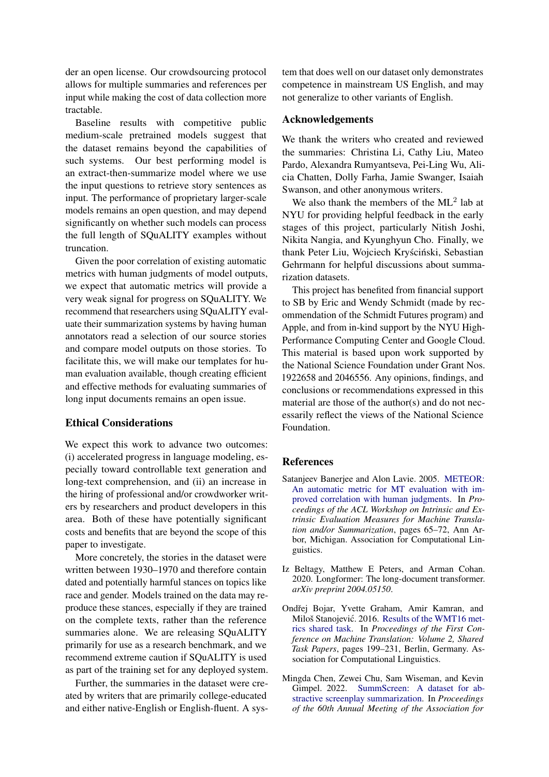der an open license. Our crowdsourcing protocol allows for multiple summaries and references per input while making the cost of data collection more tractable.

Baseline results with competitive public medium-scale pretrained models suggest that the dataset remains beyond the capabilities of such systems. Our best performing model is an extract-then-summarize model where we use the input questions to retrieve story sentences as input. The performance of proprietary larger-scale models remains an open question, and may depend significantly on whether such models can process the full length of SQuALITY examples without truncation.

Given the poor correlation of existing automatic metrics with human judgments of model outputs, we expect that automatic metrics will provide a very weak signal for progress on SQuALITY. We recommend that researchers using SQuALITY evaluate their summarization systems by having human annotators read a selection of our source stories and compare model outputs on those stories. To facilitate this, we will make our templates for human evaluation available, though creating efficient and effective methods for evaluating summaries of long input documents remains an open issue.

### Ethical Considerations

We expect this work to advance two outcomes: (i) accelerated progress in language modeling, especially toward controllable text generation and long-text comprehension, and (ii) an increase in the hiring of professional and/or crowdworker writers by researchers and product developers in this area. Both of these have potentially significant costs and benefits that are beyond the scope of this paper to investigate.

More concretely, the stories in the dataset were written between 1930–1970 and therefore contain dated and potentially harmful stances on topics like race and gender. Models trained on the data may reproduce these stances, especially if they are trained on the complete texts, rather than the reference summaries alone. We are releasing SQuALITY primarily for use as a research benchmark, and we recommend extreme caution if SQuALITY is used as part of the training set for any deployed system.

Further, the summaries in the dataset were created by writers that are primarily college-educated and either native-English or English-fluent. A system that does well on our dataset only demonstrates competence in mainstream US English, and may not generalize to other variants of English.

#### Acknowledgements

We thank the writers who created and reviewed the summaries: Christina Li, Cathy Liu, Mateo Pardo, Alexandra Rumyantseva, Pei-Ling Wu, Alicia Chatten, Dolly Farha, Jamie Swanger, Isaiah Swanson, and other anonymous writers.

We also thank the members of the  $ML^2$  lab at NYU for providing helpful feedback in the early stages of this project, particularly Nitish Joshi, Nikita Nangia, and Kyunghyun Cho. Finally, we thank Peter Liu, Wojciech Kryściński, Sebastian Gehrmann for helpful discussions about summarization datasets.

This project has benefited from financial support to SB by Eric and Wendy Schmidt (made by recommendation of the Schmidt Futures program) and Apple, and from in-kind support by the NYU High-Performance Computing Center and Google Cloud. This material is based upon work supported by the National Science Foundation under Grant Nos. 1922658 and 2046556. Any opinions, findings, and conclusions or recommendations expressed in this material are those of the author(s) and do not necessarily reflect the views of the National Science Foundation.

### References

- <span id="page-10-2"></span>Satanjeev Banerjee and Alon Lavie. 2005. [METEOR:](https://aclanthology.org/W05-0909) [An automatic metric for MT evaluation with im](https://aclanthology.org/W05-0909)[proved correlation with human judgments.](https://aclanthology.org/W05-0909) In *Proceedings of the ACL Workshop on Intrinsic and Extrinsic Evaluation Measures for Machine Translation and/or Summarization*, pages 65–72, Ann Arbor, Michigan. Association for Computational Linguistics.
- <span id="page-10-1"></span>Iz Beltagy, Matthew E Peters, and Arman Cohan. 2020. Longformer: The long-document transformer. *arXiv preprint 2004.05150*.
- <span id="page-10-3"></span>Ondřej Bojar, Yvette Graham, Amir Kamran, and Miloš Stanojević. 2016. [Results of the WMT16 met](https://doi.org/10.18653/v1/W16-2302)[rics shared task.](https://doi.org/10.18653/v1/W16-2302) In *Proceedings of the First Conference on Machine Translation: Volume 2, Shared Task Papers*, pages 199–231, Berlin, Germany. Association for Computational Linguistics.
- <span id="page-10-0"></span>Mingda Chen, Zewei Chu, Sam Wiseman, and Kevin Gimpel. 2022. [SummScreen: A dataset for ab](https://aclanthology.org/2022.acl-long.589)[stractive screenplay summarization.](https://aclanthology.org/2022.acl-long.589) In *Proceedings of the 60th Annual Meeting of the Association for*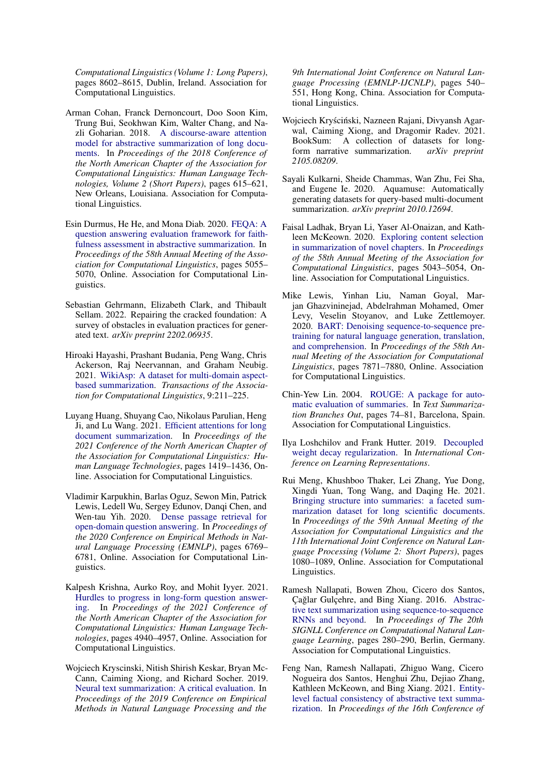*Computational Linguistics (Volume 1: Long Papers)*, pages 8602–8615, Dublin, Ireland. Association for Computational Linguistics.

- <span id="page-11-3"></span>Arman Cohan, Franck Dernoncourt, Doo Soon Kim, Trung Bui, Seokhwan Kim, Walter Chang, and Nazli Goharian. 2018. [A discourse-aware attention](https://doi.org/10.18653/v1/N18-2097) [model for abstractive summarization of long docu](https://doi.org/10.18653/v1/N18-2097)[ments.](https://doi.org/10.18653/v1/N18-2097) In *Proceedings of the 2018 Conference of the North American Chapter of the Association for Computational Linguistics: Human Language Technologies, Volume 2 (Short Papers)*, pages 615–621, New Orleans, Louisiana. Association for Computational Linguistics.
- <span id="page-11-16"></span>Esin Durmus, He He, and Mona Diab. 2020. [FEQA: A](https://doi.org/10.18653/v1/2020.acl-main.454) [question answering evaluation framework for faith](https://doi.org/10.18653/v1/2020.acl-main.454)[fulness assessment in abstractive summarization.](https://doi.org/10.18653/v1/2020.acl-main.454) In *Proceedings of the 58th Annual Meeting of the Association for Computational Linguistics*, pages 5055– 5070, Online. Association for Computational Linguistics.
- <span id="page-11-5"></span>Sebastian Gehrmann, Elizabeth Clark, and Thibault Sellam. 2022. Repairing the cracked foundation: A survey of obstacles in evaluation practices for generated text. *arXiv preprint 2202.06935*.
- <span id="page-11-9"></span>Hiroaki Hayashi, Prashant Budania, Peng Wang, Chris Ackerson, Raj Neervannan, and Graham Neubig. 2021. [WikiAsp: A dataset for multi-domain aspect](https://doi.org/10.1162/tacl_a_00362)[based summarization.](https://doi.org/10.1162/tacl_a_00362) *Transactions of the Association for Computational Linguistics*, 9:211–225.
- <span id="page-11-4"></span>Luyang Huang, Shuyang Cao, Nikolaus Parulian, Heng Ji, and Lu Wang. 2021. [Efficient attentions for long](https://doi.org/10.18653/v1/2021.naacl-main.112) [document summarization.](https://doi.org/10.18653/v1/2021.naacl-main.112) In *Proceedings of the 2021 Conference of the North American Chapter of the Association for Computational Linguistics: Human Language Technologies*, pages 1419–1436, Online. Association for Computational Linguistics.
- <span id="page-11-13"></span>Vladimir Karpukhin, Barlas Oguz, Sewon Min, Patrick Lewis, Ledell Wu, Sergey Edunov, Danqi Chen, and Wen-tau Yih. 2020. [Dense passage retrieval for](https://doi.org/10.18653/v1/2020.emnlp-main.550) [open-domain question answering.](https://doi.org/10.18653/v1/2020.emnlp-main.550) In *Proceedings of the 2020 Conference on Empirical Methods in Natural Language Processing (EMNLP)*, pages 6769– 6781, Online. Association for Computational Linguistics.
- <span id="page-11-11"></span>Kalpesh Krishna, Aurko Roy, and Mohit Iyyer. 2021. [Hurdles to progress in long-form question answer](https://doi.org/10.18653/v1/2021.naacl-main.393)[ing.](https://doi.org/10.18653/v1/2021.naacl-main.393) In *Proceedings of the 2021 Conference of the North American Chapter of the Association for Computational Linguistics: Human Language Technologies*, pages 4940–4957, Online. Association for Computational Linguistics.
- <span id="page-11-1"></span>Wojciech Kryscinski, Nitish Shirish Keskar, Bryan Mc-Cann, Caiming Xiong, and Richard Socher. 2019. [Neural text summarization: A critical evaluation.](https://doi.org/10.18653/v1/D19-1051) In *Proceedings of the 2019 Conference on Empirical Methods in Natural Language Processing and the*

*9th International Joint Conference on Natural Language Processing (EMNLP-IJCNLP)*, pages 540– 551, Hong Kong, China. Association for Computational Linguistics.

- <span id="page-11-8"></span>Wojciech Kryściński, Nazneen Rajani, Divyansh Agarwal, Caiming Xiong, and Dragomir Radev. 2021. BookSum: A collection of datasets for longform narrative summarization. *arXiv preprint 2105.08209*.
- <span id="page-11-10"></span>Sayali Kulkarni, Sheide Chammas, Wan Zhu, Fei Sha, and Eugene Ie. 2020. Aquamuse: Automatically generating datasets for query-based multi-document summarization. *arXiv preprint 2010.12694*.
- <span id="page-11-7"></span>Faisal Ladhak, Bryan Li, Yaser Al-Onaizan, and Kathleen McKeown. 2020. [Exploring content selection](https://doi.org/10.18653/v1/2020.acl-main.453) [in summarization of novel chapters.](https://doi.org/10.18653/v1/2020.acl-main.453) In *Proceedings of the 58th Annual Meeting of the Association for Computational Linguistics*, pages 5043–5054, Online. Association for Computational Linguistics.
- <span id="page-11-12"></span>Mike Lewis, Yinhan Liu, Naman Goyal, Marjan Ghazvininejad, Abdelrahman Mohamed, Omer Levy, Veselin Stoyanov, and Luke Zettlemoyer. 2020. [BART: Denoising sequence-to-sequence pre](https://doi.org/10.18653/v1/2020.acl-main.703)[training for natural language generation, translation,](https://doi.org/10.18653/v1/2020.acl-main.703) [and comprehension.](https://doi.org/10.18653/v1/2020.acl-main.703) In *Proceedings of the 58th Annual Meeting of the Association for Computational Linguistics*, pages 7871–7880, Online. Association for Computational Linguistics.
- <span id="page-11-15"></span>Chin-Yew Lin. 2004. [ROUGE: A package for auto](https://aclanthology.org/W04-1013)[matic evaluation of summaries.](https://aclanthology.org/W04-1013) In *Text Summarization Branches Out*, pages 74–81, Barcelona, Spain. Association for Computational Linguistics.
- <span id="page-11-14"></span>Ilya Loshchilov and Frank Hutter. 2019. [Decoupled](https://openreview.net/forum?id=Bkg6RiCqY7) [weight decay regularization.](https://openreview.net/forum?id=Bkg6RiCqY7) In *International Conference on Learning Representations*.
- <span id="page-11-6"></span>Rui Meng, Khushboo Thaker, Lei Zhang, Yue Dong, Xingdi Yuan, Tong Wang, and Daqing He. 2021. [Bringing structure into summaries: a faceted sum](https://doi.org/10.18653/v1/2021.acl-short.137)[marization dataset for long scientific documents.](https://doi.org/10.18653/v1/2021.acl-short.137) In *Proceedings of the 59th Annual Meeting of the Association for Computational Linguistics and the 11th International Joint Conference on Natural Language Processing (Volume 2: Short Papers)*, pages 1080–1089, Online. Association for Computational Linguistics.
- <span id="page-11-0"></span>Ramesh Nallapati, Bowen Zhou, Cicero dos Santos, Çağlar Gulçehre, and Bing Xiang. 2016. [Abstrac](https://doi.org/10.18653/v1/K16-1028)[tive text summarization using sequence-to-sequence](https://doi.org/10.18653/v1/K16-1028) [RNNs and beyond.](https://doi.org/10.18653/v1/K16-1028) In *Proceedings of The 20th SIGNLL Conference on Computational Natural Language Learning*, pages 280–290, Berlin, Germany. Association for Computational Linguistics.
- <span id="page-11-2"></span>Feng Nan, Ramesh Nallapati, Zhiguo Wang, Cicero Nogueira dos Santos, Henghui Zhu, Dejiao Zhang, Kathleen McKeown, and Bing Xiang. 2021. [Entity](https://doi.org/10.18653/v1/2021.eacl-main.235)[level factual consistency of abstractive text summa](https://doi.org/10.18653/v1/2021.eacl-main.235)[rization.](https://doi.org/10.18653/v1/2021.eacl-main.235) In *Proceedings of the 16th Conference of*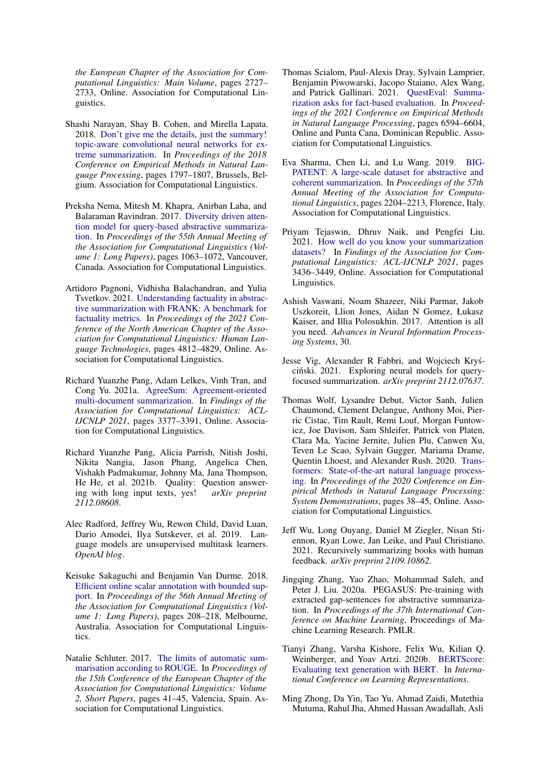*the European Chapter of the Association for Computational Linguistics: Main Volume*, pages 2727– 2733, Online. Association for Computational Linguistics.

- <span id="page-12-2"></span>Shashi Narayan, Shay B. Cohen, and Mirella Lapata. 2018. [Don't give me the details, just the summary!](https://doi.org/10.18653/v1/D18-1206) [topic-aware convolutional neural networks for ex](https://doi.org/10.18653/v1/D18-1206)[treme summarization.](https://doi.org/10.18653/v1/D18-1206) In *Proceedings of the 2018 Conference on Empirical Methods in Natural Language Processing*, pages 1797–1807, Brussels, Belgium. Association for Computational Linguistics.
- <span id="page-12-4"></span>Preksha Nema, Mitesh M. Khapra, Anirban Laha, and Balaraman Ravindran. 2017. [Diversity driven atten](https://doi.org/10.18653/v1/P17-1098)[tion model for query-based abstractive summariza](https://doi.org/10.18653/v1/P17-1098)[tion.](https://doi.org/10.18653/v1/P17-1098) In *Proceedings of the 55th Annual Meeting of the Association for Computational Linguistics (Volume 1: Long Papers)*, pages 1063–1072, Vancouver, Canada. Association for Computational Linguistics.
- <span id="page-12-16"></span>Artidoro Pagnoni, Vidhisha Balachandran, and Yulia Tsvetkov. 2021. [Understanding factuality in abstrac](https://doi.org/10.18653/v1/2021.naacl-main.383)[tive summarization with FRANK: A benchmark for](https://doi.org/10.18653/v1/2021.naacl-main.383) [factuality metrics.](https://doi.org/10.18653/v1/2021.naacl-main.383) In *Proceedings of the 2021 Conference of the North American Chapter of the Association for Computational Linguistics: Human Language Technologies*, pages 4812–4829, Online. Association for Computational Linguistics.
- <span id="page-12-15"></span>Richard Yuanzhe Pang, Adam Lelkes, Vinh Tran, and Cong Yu. 2021a. [AgreeSum: Agreement-oriented](https://doi.org/10.18653/v1/2021.findings-acl.299) [multi-document summarization.](https://doi.org/10.18653/v1/2021.findings-acl.299) In *Findings of the Association for Computational Linguistics: ACL-IJCNLP 2021*, pages 3377–3391, Online. Association for Computational Linguistics.
- <span id="page-12-0"></span>Richard Yuanzhe Pang, Alicia Parrish, Nitish Joshi, Nikita Nangia, Jason Phang, Angelica Chen, Vishakh Padmakumar, Johnny Ma, Jana Thompson, He He, et al. 2021b. Quality: Question answering with long input texts, yes! *arXiv preprint 2112.08608*.
- <span id="page-12-6"></span>Alec Radford, Jeffrey Wu, Rewon Child, David Luan, Dario Amodei, Ilya Sutskever, et al. 2019. Language models are unsupervised multitask learners. *OpenAI blog*.
- <span id="page-12-14"></span>Keisuke Sakaguchi and Benjamin Van Durme. 2018. [Efficient online scalar annotation with bounded sup](https://doi.org/10.18653/v1/P18-1020)[port.](https://doi.org/10.18653/v1/P18-1020) In *Proceedings of the 56th Annual Meeting of the Association for Computational Linguistics (Volume 1: Long Papers)*, pages 208–218, Melbourne, Australia. Association for Computational Linguistics.
- <span id="page-12-13"></span>Natalie Schluter. 2017. [The limits of automatic sum](https://aclanthology.org/E17-2007)[marisation according to ROUGE.](https://aclanthology.org/E17-2007) In *Proceedings of the 15th Conference of the European Chapter of the Association for Computational Linguistics: Volume 2, Short Papers*, pages 41–45, Valencia, Spain. Association for Computational Linguistics.
- <span id="page-12-17"></span>Thomas Scialom, Paul-Alexis Dray, Sylvain Lamprier, Benjamin Piwowarski, Jacopo Staiano, Alex Wang, and Patrick Gallinari. 2021. [QuestEval: Summa](https://doi.org/10.18653/v1/2021.emnlp-main.529)[rization asks for fact-based evaluation.](https://doi.org/10.18653/v1/2021.emnlp-main.529) In *Proceedings of the 2021 Conference on Empirical Methods in Natural Language Processing*, pages 6594–6604, Online and Punta Cana, Dominican Republic. Association for Computational Linguistics.
- <span id="page-12-3"></span>Eva Sharma, Chen Li, and Lu Wang. 2019. [BIG-](https://doi.org/10.18653/v1/P19-1212)[PATENT: A large-scale dataset for abstractive and](https://doi.org/10.18653/v1/P19-1212) [coherent summarization.](https://doi.org/10.18653/v1/P19-1212) In *Proceedings of the 57th Annual Meeting of the Association for Computational Linguistics*, pages 2204–2213, Florence, Italy. Association for Computational Linguistics.
- <span id="page-12-1"></span>Priyam Tejaswin, Dhruv Naik, and Pengfei Liu. 2021. [How well do you know your summarization](https://doi.org/10.18653/v1/2021.findings-acl.303) [datasets?](https://doi.org/10.18653/v1/2021.findings-acl.303) In *Findings of the Association for Computational Linguistics: ACL-IJCNLP 2021*, pages 3436–3449, Online. Association for Computational Linguistics.
- <span id="page-12-9"></span>Ashish Vaswani, Noam Shazeer, Niki Parmar, Jakob Uszkoreit, Llion Jones, Aidan N Gomez, Łukasz Kaiser, and Illia Polosukhin. 2017. Attention is all you need. *Advances in Neural Information Processing Systems*, 30.
- <span id="page-12-11"></span>Jesse Vig, Alexander R Fabbri, and Wojciech Krys-´ ciński. 2021. Exploring neural models for queryfocused summarization. *arXiv preprint 2112.07637*.
- <span id="page-12-8"></span>Thomas Wolf, Lysandre Debut, Victor Sanh, Julien Chaumond, Clement Delangue, Anthony Moi, Pierric Cistac, Tim Rault, Remi Louf, Morgan Funtowicz, Joe Davison, Sam Shleifer, Patrick von Platen, Clara Ma, Yacine Jernite, Julien Plu, Canwen Xu, Teven Le Scao, Sylvain Gugger, Mariama Drame, Quentin Lhoest, and Alexander Rush. 2020. [Trans](https://doi.org/10.18653/v1/2020.emnlp-demos.6)[formers: State-of-the-art natural language process](https://doi.org/10.18653/v1/2020.emnlp-demos.6)[ing.](https://doi.org/10.18653/v1/2020.emnlp-demos.6) In *Proceedings of the 2020 Conference on Empirical Methods in Natural Language Processing: System Demonstrations*, pages 38–45, Online. Association for Computational Linguistics.
- <span id="page-12-7"></span>Jeff Wu, Long Ouyang, Daniel M Ziegler, Nisan Stiennon, Ryan Lowe, Jan Leike, and Paul Christiano. 2021. Recursively summarizing books with human feedback. *arXiv preprint 2109.10862*.
- <span id="page-12-10"></span>Jingqing Zhang, Yao Zhao, Mohammad Saleh, and Peter J. Liu. 2020a. PEGASUS: Pre-training with extracted gap-sentences for abstractive summarization. In *Proceedings of the 37th International Conference on Machine Learning*, Proceedings of Machine Learning Research. PMLR.
- <span id="page-12-12"></span>Tianyi Zhang, Varsha Kishore, Felix Wu, Kilian Q. Weinberger, and Yoav Artzi. 2020b. [BERTScore:](https://openreview.net/forum?id=SkeHuCVFDr) [Evaluating text generation with BERT.](https://openreview.net/forum?id=SkeHuCVFDr) In *International Conference on Learning Representations*.
- <span id="page-12-5"></span>Ming Zhong, Da Yin, Tao Yu, Ahmad Zaidi, Mutethia Mutuma, Rahul Jha, Ahmed Hassan Awadallah, Asli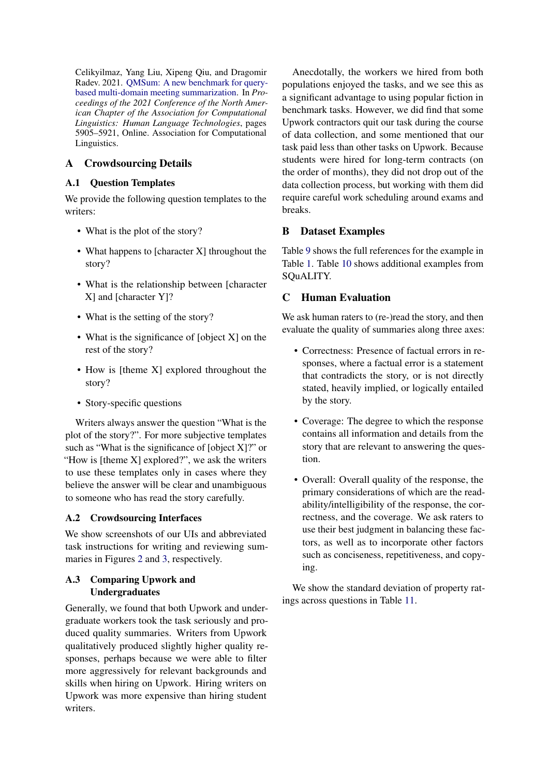Celikyilmaz, Yang Liu, Xipeng Qiu, and Dragomir Radev. 2021. [QMSum: A new benchmark for query](https://doi.org/10.18653/v1/2021.naacl-main.472)[based multi-domain meeting summarization.](https://doi.org/10.18653/v1/2021.naacl-main.472) In *Proceedings of the 2021 Conference of the North American Chapter of the Association for Computational Linguistics: Human Language Technologies*, pages 5905–5921, Online. Association for Computational Linguistics.

# A Crowdsourcing Details

## <span id="page-13-0"></span>A.1 Question Templates

We provide the following question templates to the writers:

- What is the plot of the story?
- What happens to [character X] throughout the story?
- What is the relationship between [character X] and [character Y]?
- What is the setting of the story?
- What is the significance of [object X] on the rest of the story?
- How is [theme X] explored throughout the story?
- Story-specific questions

Writers always answer the question "What is the plot of the story?". For more subjective templates such as "What is the significance of [object  $X$ ]?" or "How is [theme X] explored?", we ask the writers to use these templates only in cases where they believe the answer will be clear and unambiguous to someone who has read the story carefully.

# A.2 Crowdsourcing Interfaces

We show screenshots of our UIs and abbreviated task instructions for writing and reviewing summaries in Figures [2](#page-14-0) and [3,](#page-14-1) respectively.

# <span id="page-13-1"></span>A.3 Comparing Upwork and Undergraduates

Generally, we found that both Upwork and undergraduate workers took the task seriously and produced quality summaries. Writers from Upwork qualitatively produced slightly higher quality responses, perhaps because we were able to filter more aggressively for relevant backgrounds and skills when hiring on Upwork. Hiring writers on Upwork was more expensive than hiring student writers.

Anecdotally, the workers we hired from both populations enjoyed the tasks, and we see this as a significant advantage to using popular fiction in benchmark tasks. However, we did find that some Upwork contractors quit our task during the course of data collection, and some mentioned that our task paid less than other tasks on Upwork. Because students were hired for long-term contracts (on the order of months), they did not drop out of the data collection process, but working with them did require careful work scheduling around exams and breaks.

# B Dataset Examples

Table [9](#page-15-0) shows the full references for the example in Table [1.](#page-2-0) Table [10](#page-16-0) shows additional examples from SQuALITY.

# <span id="page-13-2"></span>C Human Evaluation

We ask human raters to (re-)read the story, and then evaluate the quality of summaries along three axes:

- Correctness: Presence of factual errors in responses, where a factual error is a statement that contradicts the story, or is not directly stated, heavily implied, or logically entailed by the story.
- Coverage: The degree to which the response contains all information and details from the story that are relevant to answering the question.
- Overall: Overall quality of the response, the primary considerations of which are the readability/intelligibility of the response, the correctness, and the coverage. We ask raters to use their best judgment in balancing these factors, as well as to incorporate other factors such as conciseness, repetitiveness, and copying.

We show the standard deviation of property ratings across questions in Table [11.](#page-17-0)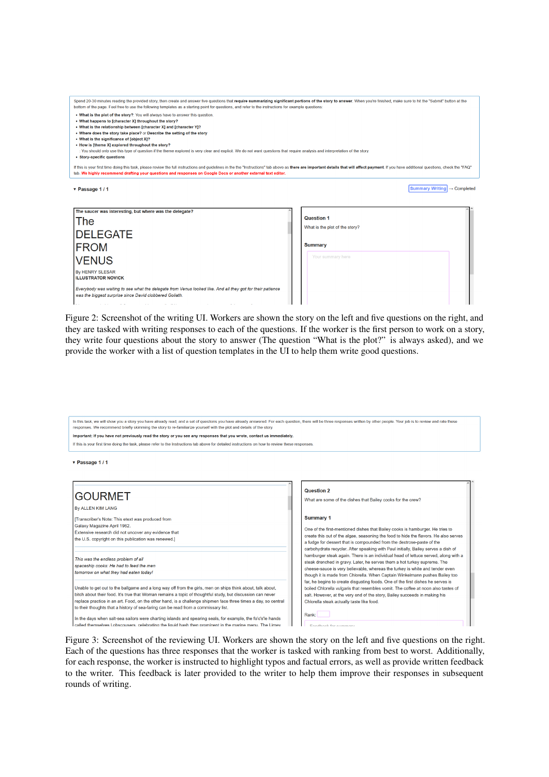<span id="page-14-0"></span>

| Spend 20-30 minutes reading the provided story, then create and answer five questions that require summarizing significant portions of the story to answer. When you're finished, make sure to hit the "Submit" button at the<br>bottom of the page. Feel free to use the following templates as a starting point for questions, and refer to the instructions for example questions:                                                                                                                                                                                                                       |                                                   |
|-------------------------------------------------------------------------------------------------------------------------------------------------------------------------------------------------------------------------------------------------------------------------------------------------------------------------------------------------------------------------------------------------------------------------------------------------------------------------------------------------------------------------------------------------------------------------------------------------------------|---------------------------------------------------|
| . What is the plot of the story?: You will always have to answer this question.<br>• What happens to [character X] throughout the story?<br>. What is the relationship between [character X] and [character Y]?<br>• Where does the story take place? or Describe the setting of the story<br>• What is the significance of lobiect X1?<br>• How is [theme X] explored throughout the story?<br>: You should only use this type of question if the theme explored is very clear and explicit. We do not want questions that require analysis and interpretation of the story.<br>• Story-specific questions |                                                   |
| If this is your first time doing this task, please review the full instructions and quidelines in the the "Instructions" tab above as there are important details that will affect payment. If you have additional questions,<br>tab. We highly recommend drafting your questions and responses on Google Docs or another external text editor.                                                                                                                                                                                                                                                             |                                                   |
| v Passage 1/1                                                                                                                                                                                                                                                                                                                                                                                                                                                                                                                                                                                               | <b>Summary Writing</b><br>$\rightarrow$ Completed |
| The saucer was interesting, but where was the delegate?                                                                                                                                                                                                                                                                                                                                                                                                                                                                                                                                                     |                                                   |
| The                                                                                                                                                                                                                                                                                                                                                                                                                                                                                                                                                                                                         | <b>Question 1</b>                                 |
| <b>DELEGATE</b>                                                                                                                                                                                                                                                                                                                                                                                                                                                                                                                                                                                             | What is the plot of the story?                    |
| <b>FROM</b>                                                                                                                                                                                                                                                                                                                                                                                                                                                                                                                                                                                                 | <b>Summary</b>                                    |
| <b>VENUS</b>                                                                                                                                                                                                                                                                                                                                                                                                                                                                                                                                                                                                | Your summary here                                 |

was the biggest surprise since David clobbered Goliath.

|<br>Everybody was waiting to see what the delegate from Venus looked like. And all they got for their patience

By HENRY SLESAR<br>ILLUSTRATOR NOVICK

Figure 2: Screenshot of the writing UI. Workers are shown the story on the left and five questions on the right, and they are tasked with writing responses to each of the questions. If the worker is the first person to work on a story, they write four questions about the story to answer (The question "What is the plot?" is always asked), and we provide the worker with a list of question templates in the UI to help them write good questions.

<span id="page-14-1"></span>

| In this task, we will show you a story you have already read, and a set of questions you have already answered. For each question, there will be three responses written by other people. Your job is to review and rate these<br>responses. We recommend briefly skimming the story to re-familiarize yourself with the plot and details of the story. |                                                                                                                                                                      |
|---------------------------------------------------------------------------------------------------------------------------------------------------------------------------------------------------------------------------------------------------------------------------------------------------------------------------------------------------------|----------------------------------------------------------------------------------------------------------------------------------------------------------------------|
| Important: If you have not previously read the story or you see any responses that you wrote, contact us immediately.                                                                                                                                                                                                                                   |                                                                                                                                                                      |
| If this is your first time doing the task, please refer to the Instructions tab above for detailed instructions on how to review these responses.                                                                                                                                                                                                       |                                                                                                                                                                      |
|                                                                                                                                                                                                                                                                                                                                                         |                                                                                                                                                                      |
| ▼ Passage 1 / 1                                                                                                                                                                                                                                                                                                                                         |                                                                                                                                                                      |
|                                                                                                                                                                                                                                                                                                                                                         |                                                                                                                                                                      |
|                                                                                                                                                                                                                                                                                                                                                         |                                                                                                                                                                      |
|                                                                                                                                                                                                                                                                                                                                                         |                                                                                                                                                                      |
|                                                                                                                                                                                                                                                                                                                                                         | <b>Question 2</b>                                                                                                                                                    |
| <b>GOURMET</b>                                                                                                                                                                                                                                                                                                                                          | What are some of the dishes that Bailey cooks for the crew?                                                                                                          |
| By ALLEN KIM LANG                                                                                                                                                                                                                                                                                                                                       |                                                                                                                                                                      |
| [Transcriber's Note: This etext was produced from                                                                                                                                                                                                                                                                                                       | <b>Summary 1</b>                                                                                                                                                     |
| Galaxy Magazine April 1962.                                                                                                                                                                                                                                                                                                                             |                                                                                                                                                                      |
| Extensive research did not uncover any evidence that                                                                                                                                                                                                                                                                                                    | One of the first-mentioned dishes that Bailey cooks is hamburger. He tries to                                                                                        |
| the U.S. copyright on this publication was renewed.]                                                                                                                                                                                                                                                                                                    | create this out of the algae, seasoning the food to hide the flavors. He also serves<br>a fudge for dessert that is compounded from the dextrose-paste of the        |
|                                                                                                                                                                                                                                                                                                                                                         | carbohydrate recycler. After speaking with Paul initially, Bailey serves a dish of                                                                                   |
|                                                                                                                                                                                                                                                                                                                                                         | hamburger steak again. There is an individual head of lettuce served, along with a                                                                                   |
| This was the endless problem of all                                                                                                                                                                                                                                                                                                                     | steak drenched in gravy. Later, he serves them a hot turkey supreme. The                                                                                             |
| spaceship cooks: He had to feed the men<br>tomorrow on what they had eaten today!                                                                                                                                                                                                                                                                       | cheese-sauce is very believable, whereas the turkey is white and tender even                                                                                         |
|                                                                                                                                                                                                                                                                                                                                                         | though it is made from Chlorella. When Captain Winkelmann pushes Bailey too                                                                                          |
| Unable to get out to the ballgame and a long way off from the girls, men on ships think about, talk about,                                                                                                                                                                                                                                              | far, he begins to create disgusting foods. One of the first dishes he serves is<br>boiled Chlorella vulgaris that resembles vomit. The coffee at noon also tastes of |
| bitch about their food. It's true that Woman remains a topic of thoughtful study, but discussion can never                                                                                                                                                                                                                                              | salt. However, at the very end of the story, Bailey succeeds in making his                                                                                           |
| replace practice in an art. Food, on the other hand, is a challenge shipmen face three times a day, so central                                                                                                                                                                                                                                          | Chlorella steak actually taste like food.                                                                                                                            |
| to their thoughts that a history of sea-faring can be read from a commissary list.                                                                                                                                                                                                                                                                      |                                                                                                                                                                      |
| In the days when salt-sea sailors were charting islands and spearing seals, for example, the fo'c's'le hands                                                                                                                                                                                                                                            | Rank:                                                                                                                                                                |
| called themselves Lobscousers, celebrating the liquid hash then prominent in the marine menu. The Limev                                                                                                                                                                                                                                                 | Foodback for cummany                                                                                                                                                 |
|                                                                                                                                                                                                                                                                                                                                                         |                                                                                                                                                                      |

Figure 3: Screenshot of the reviewing UI. Workers are shown the story on the left and five questions on the right. Each of the questions has three responses that the worker is tasked with ranking from best to worst. Additionally, for each response, the worker is instructed to highlight typos and factual errors, as well as provide written feedback to the writer. This feedback is later provided to the writer to help them improve their responses in subsequent rounds of writing.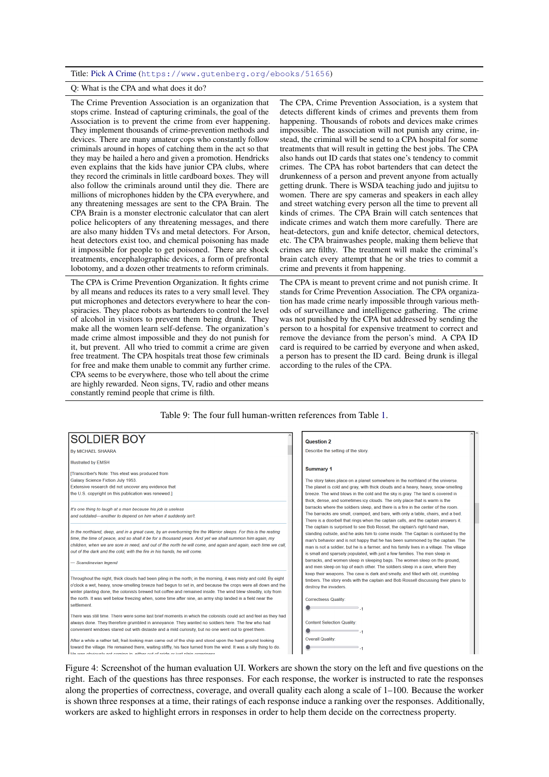#### <span id="page-15-0"></span>Title: [Pick A Crime](https://www.gutenberg.org/ebooks/51656) (<https://www.gutenberg.org/ebooks/51656>)

#### Q: What is the CPA and what does it do?

The Crime Prevention Association is an organization that stops crime. Instead of capturing criminals, the goal of the Association is to prevent the crime from ever happening. They implement thousands of crime-prevention methods and devices. There are many amateur cops who constantly follow criminals around in hopes of catching them in the act so that they may be hailed a hero and given a promotion. Hendricks even explains that the kids have junior CPA clubs, where they record the criminals in little cardboard boxes. They will also follow the criminals around until they die. There are millions of microphones hidden by the CPA everywhere, and any threatening messages are sent to the CPA Brain. The CPA Brain is a monster electronic calculator that can alert police helicopters of any threatening messages, and there are also many hidden TVs and metal detectors. For Arson, heat detectors exist too, and chemical poisoning has made it impossible for people to get poisoned. There are shock treatments, encephalographic devices, a form of prefrontal lobotomy, and a dozen other treatments to reform criminals.

The CPA is Crime Prevention Organization. It fights crime by all means and reduces its rates to a very small level. They put microphones and detectors everywhere to hear the conspiracies. They place robots as bartenders to control the level of alcohol in visitors to prevent them being drunk. They make all the women learn self-defense. The organization's made crime almost impossible and they do not punish for it, but prevent. All who tried to commit a crime are given free treatment. The CPA hospitals treat those few criminals for free and make them unable to commit any further crime. CPA seems to be everywhere, those who tell about the crime are highly rewarded. Neon signs, TV, radio and other means constantly remind people that crime is filth.

The CPA, Crime Prevention Association, is a system that detects different kinds of crimes and prevents them from happening. Thousands of robots and devices make crimes impossible. The association will not punish any crime, instead, the criminal will be send to a CPA hospital for some treatments that will result in getting the best jobs. The CPA also hands out ID cards that states one's tendency to commit crimes. The CPA has robot bartenders that can detect the drunkenness of a person and prevent anyone from actually getting drunk. There is WSDA teaching judo and jujitsu to women. There are spy cameras and speakers in each alley and street watching every person all the time to prevent all kinds of crimes. The CPA Brain will catch sentences that indicate crimes and watch them more carefully. There are heat-detectors, gun and knife detector, chemical detectors, etc. The CPA brainwashes people, making them believe that crimes are filthy. The treatment will make the criminal's brain catch every attempt that he or she tries to commit a crime and prevents it from happening.

The CPA is meant to prevent crime and not punish crime. It stands for Crime Prevention Association. The CPA organization has made crime nearly impossible through various methods of surveillance and intelligence gathering. The crime was not punished by the CPA but addressed by sending the person to a hospital for expensive treatment to correct and remove the deviance from the person's mind. A CPA ID card is required to be carried by everyone and when asked, a person has to present the ID card. Being drunk is illegal according to the rules of the CPA.

#### Table 9: The four full human-written references from Table [1.](#page-2-0)

| <b>SOLDIER BOY</b>                                                                                                 | <b>Question 2</b>                                                                        |
|--------------------------------------------------------------------------------------------------------------------|------------------------------------------------------------------------------------------|
| <b>By MICHAEL SHAARA</b>                                                                                           | Describe the setting of the story.                                                       |
| <b>Illustrated by EMSH</b>                                                                                         |                                                                                          |
| [Transcriber's Note: This etext was produced from                                                                  | <b>Summary 1</b>                                                                         |
| Galaxy Science Fiction July 1953.                                                                                  | The story takes place on a planet somewhere in the northland of the universe.            |
| Extensive research did not uncover any evidence that                                                               | The planet is cold and gray, with thick clouds and a heavy, heavy, snow-smelling         |
| the U.S. copyright on this publication was renewed.]                                                               | breeze. The wind blows in the cold and the sky is gray. The land is covered in           |
|                                                                                                                    | thick, dense, and sometimes icy clouds. The only place that is warm is the               |
| It's one thing to laugh at a man because his job is useless                                                        | barracks where the soldiers sleep, and there is a fire in the center of the room.        |
| and outdated-another to depend on him when it suddenly isn't.                                                      | The barracks are small, cramped, and bare, with only a table, chairs, and a bed.         |
|                                                                                                                    | There is a doorbell that rings when the captain calls, and the captain answers it.       |
|                                                                                                                    | The captain is surprised to see Bob Rossel, the captain's right-hand man,                |
| In the northland, deep, and in a great cave, by an everburning fire the Warrior sleeps. For this is the resting    | standing outside, and he asks him to come inside. The Captain is confused by the         |
| time, the time of peace, and so shall it be for a thousand years. And yet we shall summon him again, my            | man's behavior and is not happy that he has been summoned by the captain. The            |
| children, when we are sore in need, and out of the north he will come, and again and again, each time we call,     | man is not a soldier, but he is a farmer, and his family lives in a village. The village |
| out of the dark and the cold, with the fire in his hands, he will come.                                            | is small and sparsely populated, with just a few families. The men sleep in              |
| - Scandinavian legend                                                                                              | barracks, and women sleep in sleeping bags. The women sleep on the ground,               |
|                                                                                                                    | and men sleep on top of each other. The soldiers sleep in a cave, where they             |
| Throughout the night, thick clouds had been piling in the north; in the morning, it was misty and cold. By eight   | keep their weapons. The cave is dark and smelly, and filled with old, crumbling          |
| o'clock a wet, heavy, snow-smelling breeze had begun to set in, and because the crops were all down and the        | timbers. The story ends with the captain and Bob Rossell discussing their plans to       |
| winter planting done, the colonists brewed hot coffee and remained inside. The wind blew steadily, icily from      | destroy the invaders.                                                                    |
| the north. It was well below freezing when, some time after nine, an army ship landed in a field near the          | <b>Correctness Quality:</b>                                                              |
| settlement.                                                                                                        |                                                                                          |
|                                                                                                                    |                                                                                          |
| There was still time. There were some last brief moments in which the colonists could act and feel as they had     |                                                                                          |
| always done. They therefore grumbled in annoyance. They wanted no soldiers here. The few who had                   | <b>Content Selection Quality:</b>                                                        |
| convenient windows stared out with distaste and a mild curiosity, but no one went out to greet them.               | $-1$                                                                                     |
| After a while a rather tall, frail-looking man came out of the ship and stood upon the hard ground looking         | <b>Overall Quality:</b>                                                                  |
| toward the village. He remained there, waiting stiffly, his face turned from the wind. It was a silly thing to do. |                                                                                          |

Figure 4: Screenshot of the human evaluation UI. Workers are shown the story on the left and five questions on the right. Each of the questions has three responses. For each response, the worker is instructed to rate the responses along the properties of correctness, coverage, and overall quality each along a scale of 1–100. Because the worker is shown three responses at a time, their ratings of each response induce a ranking over the responses. Additionally, workers are asked to highlight errors in responses in order to help them decide on the correctness property.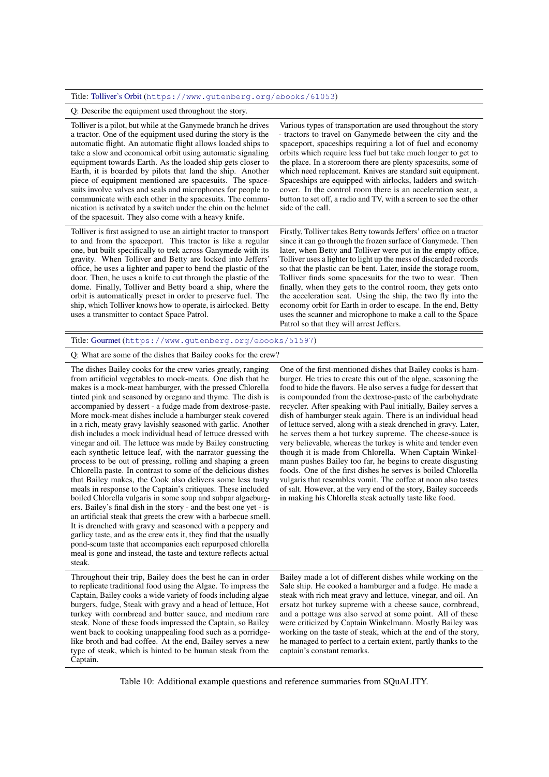#### <span id="page-16-0"></span>Title: [Tolliver's Orbit](https://www.gutenberg.org/ebooks/61053) (<https://www.gutenberg.org/ebooks/61053>)

Q: Describe the equipment used throughout the story.

Tolliver is a pilot, but while at the Ganymede branch he drives a tractor. One of the equipment used during the story is the automatic flight. An automatic flight allows loaded ships to take a slow and economical orbit using automatic signaling equipment towards Earth. As the loaded ship gets closer to Earth, it is boarded by pilots that land the ship. Another piece of equipment mentioned are spacesuits. The spacesuits involve valves and seals and microphones for people to communicate with each other in the spacesuits. The communication is activated by a switch under the chin on the helmet of the spacesuit. They also come with a heavy knife.

Tolliver is first assigned to use an airtight tractor to transport to and from the spaceport. This tractor is like a regular one, but built specifically to trek across Ganymede with its gravity. When Tolliver and Betty are locked into Jeffers' office, he uses a lighter and paper to bend the plastic of the door. Then, he uses a knife to cut through the plastic of the dome. Finally, Tolliver and Betty board a ship, where the orbit is automatically preset in order to preserve fuel. The ship, which Tolliver knows how to operate, is airlocked. Betty uses a transmitter to contact Space Patrol.

Various types of transportation are used throughout the story tractors to travel on Ganymede between the city and the spaceport, spaceships requiring a lot of fuel and economy orbits which require less fuel but take much longer to get to the place. In a storeroom there are plenty spacesuits, some of which need replacement. Knives are standard suit equipment. Spaceships are equipped with airlocks, ladders and switchcover. In the control room there is an acceleration seat, a button to set off, a radio and TV, with a screen to see the other side of the call.

Firstly, Tolliver takes Betty towards Jeffers' office on a tractor since it can go through the frozen surface of Ganymede. Then later, when Betty and Tolliver were put in the empty office, Tolliver uses a lighter to light up the mess of discarded records so that the plastic can be bent. Later, inside the storage room, Tolliver finds some spacesuits for the two to wear. Then finally, when they gets to the control room, they gets onto the acceleration seat. Using the ship, the two fly into the economy orbit for Earth in order to escape. In the end, Betty uses the scanner and microphone to make a call to the Space Patrol so that they will arrest Jeffers.

#### Title: [Gourmet](https://www.gutenberg.org/ebooks/51597) (<https://www.gutenberg.org/ebooks/51597>)

Q: What are some of the dishes that Bailey cooks for the crew?

The dishes Bailey cooks for the crew varies greatly, ranging from artificial vegetables to mock-meats. One dish that he makes is a mock-meat hamburger, with the pressed Chlorella tinted pink and seasoned by oregano and thyme. The dish is accompanied by dessert - a fudge made from dextrose-paste. More mock-meat dishes include a hamburger steak covered in a rich, meaty gravy lavishly seasoned with garlic. Another dish includes a mock individual head of lettuce dressed with vinegar and oil. The lettuce was made by Bailey constructing each synthetic lettuce leaf, with the narrator guessing the process to be out of pressing, rolling and shaping a green Chlorella paste. In contrast to some of the delicious dishes that Bailey makes, the Cook also delivers some less tasty meals in response to the Captain's critiques. These included boiled Chlorella vulgaris in some soup and subpar algaeburgers. Bailey's final dish in the story - and the best one yet - is an artificial steak that greets the crew with a barbecue smell. It is drenched with gravy and seasoned with a peppery and garlicy taste, and as the crew eats it, they find that the usually pond-scum taste that accompanies each repurposed chlorella meal is gone and instead, the taste and texture reflects actual steak.

Throughout their trip, Bailey does the best he can in order to replicate traditional food using the Algae. To impress the Captain, Bailey cooks a wide variety of foods including algae burgers, fudge, Steak with gravy and a head of lettuce, Hot turkey with cornbread and butter sauce, and medium rare steak. None of these foods impressed the Captain, so Bailey went back to cooking unappealing food such as a porridgelike broth and bad coffee. At the end, Bailey serves a new type of steak, which is hinted to be human steak from the Captain.

One of the first-mentioned dishes that Bailey cooks is hamburger. He tries to create this out of the algae, seasoning the food to hide the flavors. He also serves a fudge for dessert that is compounded from the dextrose-paste of the carbohydrate recycler. After speaking with Paul initially, Bailey serves a dish of hamburger steak again. There is an individual head of lettuce served, along with a steak drenched in gravy. Later, he serves them a hot turkey supreme. The cheese-sauce is very believable, whereas the turkey is white and tender even though it is made from Chlorella. When Captain Winkelmann pushes Bailey too far, he begins to create disgusting foods. One of the first dishes he serves is boiled Chlorella vulgaris that resembles vomit. The coffee at noon also tastes of salt. However, at the very end of the story, Bailey succeeds in making his Chlorella steak actually taste like food.

Bailey made a lot of different dishes while working on the Sale ship. He cooked a hamburger and a fudge. He made a steak with rich meat gravy and lettuce, vinegar, and oil. An ersatz hot turkey supreme with a cheese sauce, cornbread, and a pottage was also served at some point. All of these were criticized by Captain Winkelmann. Mostly Bailey was working on the taste of steak, which at the end of the story, he managed to perfect to a certain extent, partly thanks to the captain's constant remarks.

Table 10: Additional example questions and reference summaries from SQuALITY.